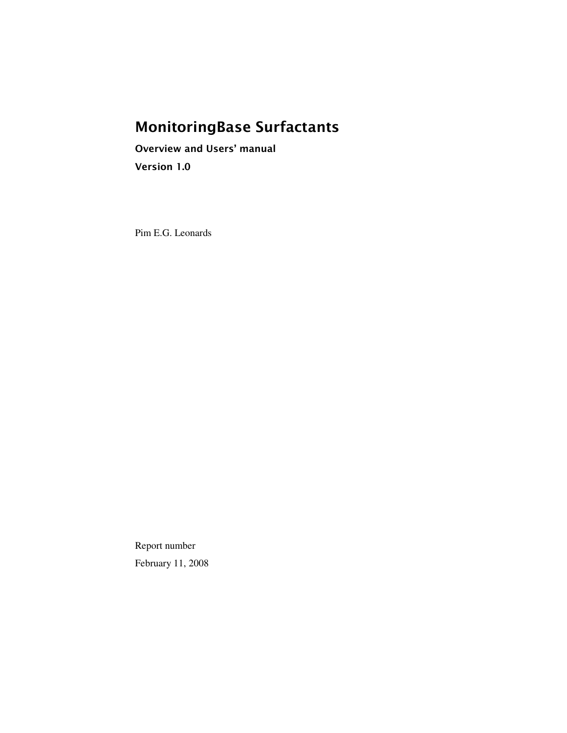# MonitoringBase Surfactants

Overview and Users' manual

Version 1.0

Pim E.G. Leonards

Report number February 11, 2008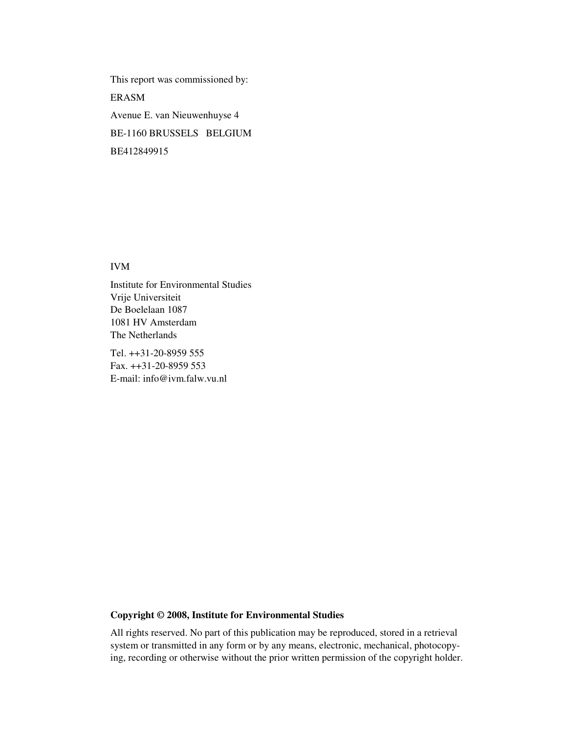This report was commissioned by: ERASM Avenue E. van Nieuwenhuyse 4 BE-1160 BRUSSELS BELGIUM BE412849915

#### IVM

Institute for Environmental Studies Vrije Universiteit De Boelelaan 1087 1081 HV Amsterdam The Netherlands

Tel. ++31-20-8959 555 Fax. ++31-20-8959 553 E-mail: info@ivm.falw.vu.nl

# **Copyright © 2008, Institute for Environmental Studies**

All rights reserved. No part of this publication may be reproduced, stored in a retrieval system or transmitted in any form or by any means, electronic, mechanical, photocopying, recording or otherwise without the prior written permission of the copyright holder.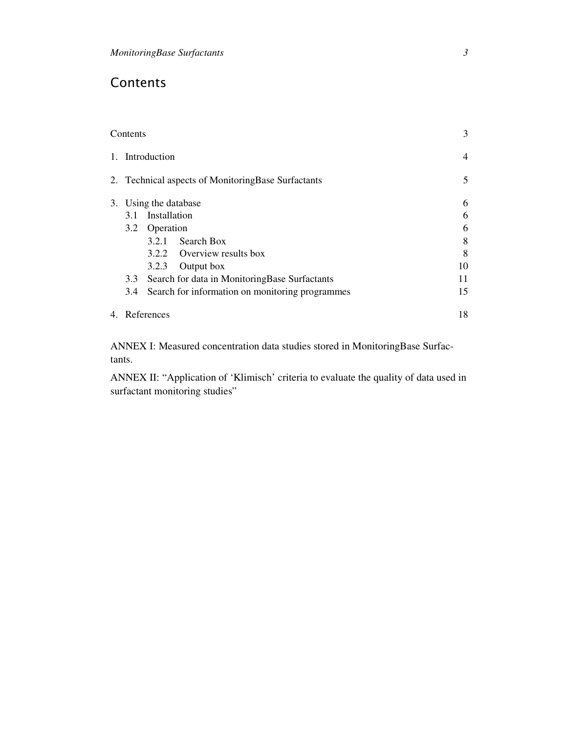# Contents

| Contents |                  |                                                     | 3              |
|----------|------------------|-----------------------------------------------------|----------------|
|          | 1. Introduction  |                                                     | $\overline{4}$ |
|          |                  | 2. Technical aspects of Monitoring Base Surfactants | 5              |
|          |                  | 3. Using the database                               | 6              |
|          | 3.1 Installation |                                                     | 6              |
|          | 3.2 Operation    |                                                     | 6              |
|          |                  | 3.2.1 Search Box                                    | 8              |
|          |                  | 3.2.2 Overview results box                          | 8              |
|          | 3.2.3            | Output box                                          | 10             |
| 3.3      |                  | Search for data in Monitoring Base Surfactants      | 11             |
| 3.4      |                  | Search for information on monitoring programmes     | 15             |
|          | 4. References    |                                                     | 18             |

ANNEX I: Measured concentration data studies stored in MonitoringBase Surfactants.

ANNEX II: "Application of 'Klimisch' criteria to evaluate the quality of data used in surfactant monitoring studies"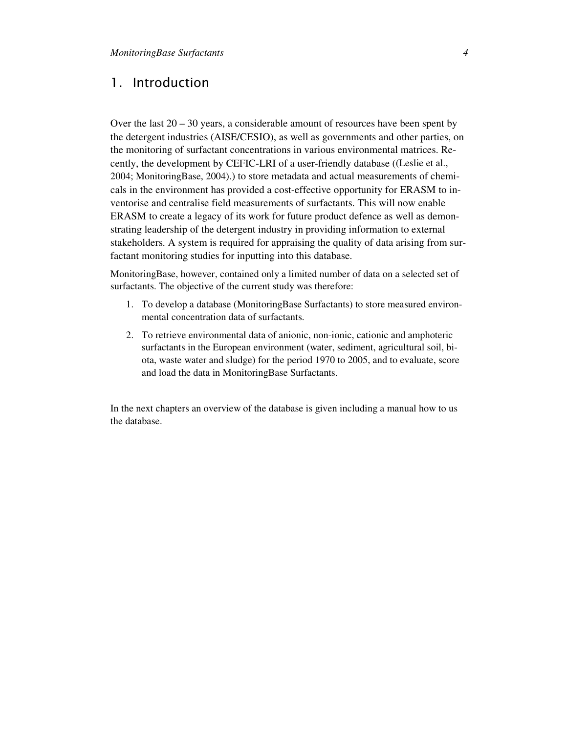# 1. Introduction

Over the last  $20 - 30$  years, a considerable amount of resources have been spent by the detergent industries (AISE/CESIO), as well as governments and other parties, on the monitoring of surfactant concentrations in various environmental matrices. Recently, the development by CEFIC-LRI of a user-friendly database ((Leslie et al., 2004; MonitoringBase, 2004).) to store metadata and actual measurements of chemicals in the environment has provided a cost-effective opportunity for ERASM to inventorise and centralise field measurements of surfactants. This will now enable ERASM to create a legacy of its work for future product defence as well as demonstrating leadership of the detergent industry in providing information to external stakeholders. A system is required for appraising the quality of data arising from surfactant monitoring studies for inputting into this database.

MonitoringBase, however, contained only a limited number of data on a selected set of surfactants. The objective of the current study was therefore:

- 1. To develop a database (MonitoringBase Surfactants) to store measured environmental concentration data of surfactants.
- 2. To retrieve environmental data of anionic, non-ionic, cationic and amphoteric surfactants in the European environment (water, sediment, agricultural soil, biota, waste water and sludge) for the period 1970 to 2005, and to evaluate, score and load the data in MonitoringBase Surfactants.

In the next chapters an overview of the database is given including a manual how to us the database.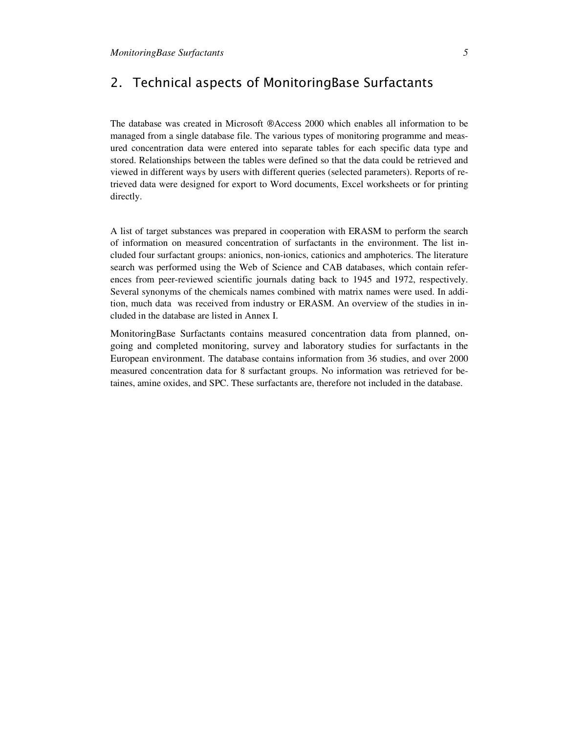# 2. Technical aspects of MonitoringBase Surfactants

The database was created in Microsoft ®Access 2000 which enables all information to be managed from a single database file. The various types of monitoring programme and measured concentration data were entered into separate tables for each specific data type and stored. Relationships between the tables were defined so that the data could be retrieved and viewed in different ways by users with different queries (selected parameters). Reports of retrieved data were designed for export to Word documents, Excel worksheets or for printing directly.

A list of target substances was prepared in cooperation with ERASM to perform the search of information on measured concentration of surfactants in the environment. The list included four surfactant groups: anionics, non-ionics, cationics and amphoterics. The literature search was performed using the Web of Science and CAB databases, which contain references from peer-reviewed scientific journals dating back to 1945 and 1972, respectively. Several synonyms of the chemicals names combined with matrix names were used. In addition, much data was received from industry or ERASM. An overview of the studies in included in the database are listed in Annex I.

MonitoringBase Surfactants contains measured concentration data from planned, ongoing and completed monitoring, survey and laboratory studies for surfactants in the European environment. The database contains information from 36 studies, and over 2000 measured concentration data for 8 surfactant groups. No information was retrieved for betaines, amine oxides, and SPC. These surfactants are, therefore not included in the database.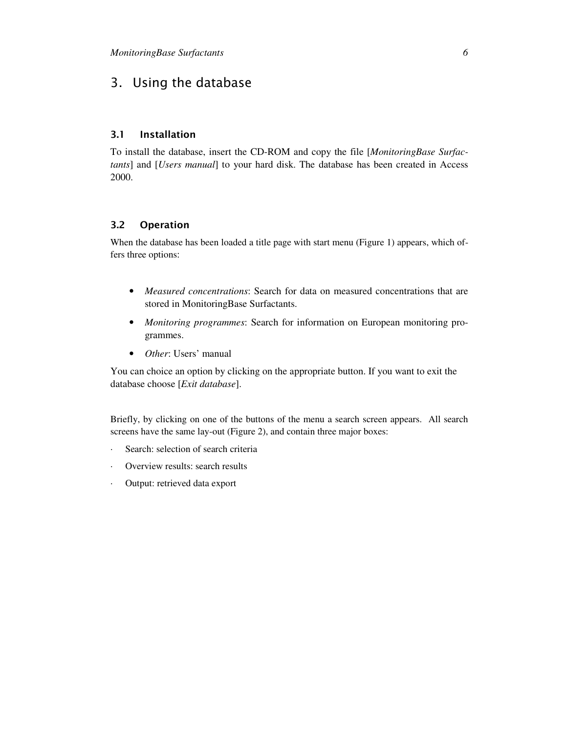# 3. Using the database

# 3.1 Installation

To install the database, insert the CD-ROM and copy the file [*MonitoringBase Surfactants*] and [*Users manual*] to your hard disk. The database has been created in Access 2000.

# 3.2 Operation

When the database has been loaded a title page with start menu (Figure 1) appears, which offers three options:

- *Measured concentrations*: Search for data on measured concentrations that are stored in MonitoringBase Surfactants.
- *Monitoring programmes*: Search for information on European monitoring programmes.
- *Other*: Users' manual

You can choice an option by clicking on the appropriate button. If you want to exit the database choose [*Exit database*].

Briefly, by clicking on one of the buttons of the menu a search screen appears. All search screens have the same lay-out (Figure 2), and contain three major boxes:

- Search: selection of search criteria
- Overview results: search results
- Output: retrieved data export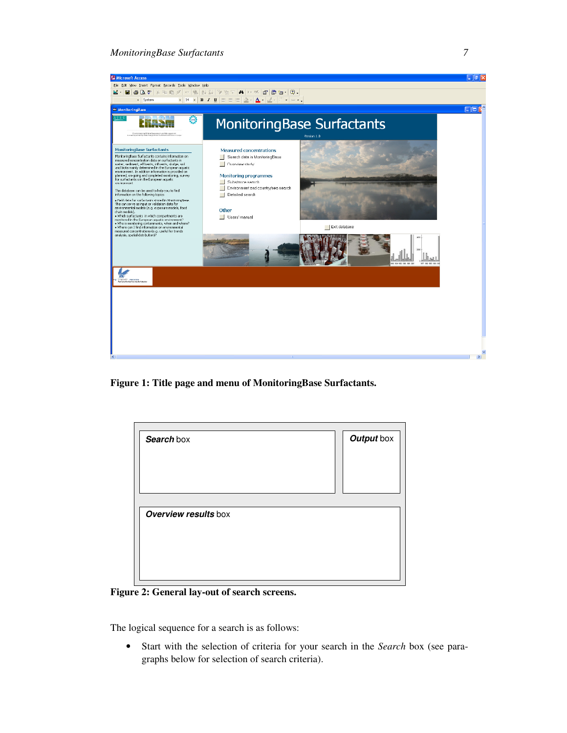## *MonitoringBase Surfactants 7*



**Figure 1: Title page and menu of MonitoringBase Surfactants.** 

| Search box                  | Output box |
|-----------------------------|------------|
| <b>Overview results box</b> |            |

**Figure 2: General lay-out of search screens.** 

The logical sequence for a search is as follows:

• Start with the selection of criteria for your search in the *Search* box (see paragraphs below for selection of search criteria).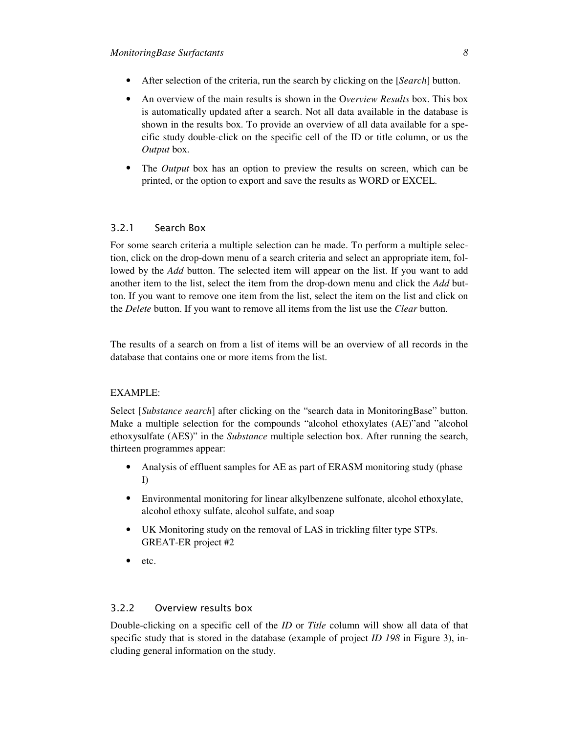- After selection of the criteria, run the search by clicking on the [*Search*] button.
- An overview of the main results is shown in the O*verview Results* box. This box is automatically updated after a search. Not all data available in the database is shown in the results box. To provide an overview of all data available for a specific study double-click on the specific cell of the ID or title column, or us the *Output* box.
- The *Output* box has an option to preview the results on screen, which can be printed, or the option to export and save the results as WORD or EXCEL.

#### 3.2.1 Search Box

For some search criteria a multiple selection can be made. To perform a multiple selection, click on the drop-down menu of a search criteria and select an appropriate item, followed by the *Add* button. The selected item will appear on the list. If you want to add another item to the list, select the item from the drop-down menu and click the *Add* button. If you want to remove one item from the list, select the item on the list and click on the *Delete* button. If you want to remove all items from the list use the *Clear* button.

The results of a search on from a list of items will be an overview of all records in the database that contains one or more items from the list.

#### EXAMPLE:

Select [*Substance search*] after clicking on the "search data in MonitoringBase" button. Make a multiple selection for the compounds "alcohol ethoxylates (AE)"and "alcohol ethoxysulfate (AES)" in the *Substance* multiple selection box. After running the search, thirteen programmes appear:

- Analysis of effluent samples for AE as part of ERASM monitoring study (phase I)
- Environmental monitoring for linear alkylbenzene sulfonate, alcohol ethoxylate, alcohol ethoxy sulfate, alcohol sulfate, and soap
- UK Monitoring study on the removal of LAS in trickling filter type STPs. GREAT-ER project #2
- etc.

#### 3.2.2 Overview results box

Double-clicking on a specific cell of the *ID* or *Title* column will show all data of that specific study that is stored in the database (example of project *ID 198* in Figure 3), including general information on the study.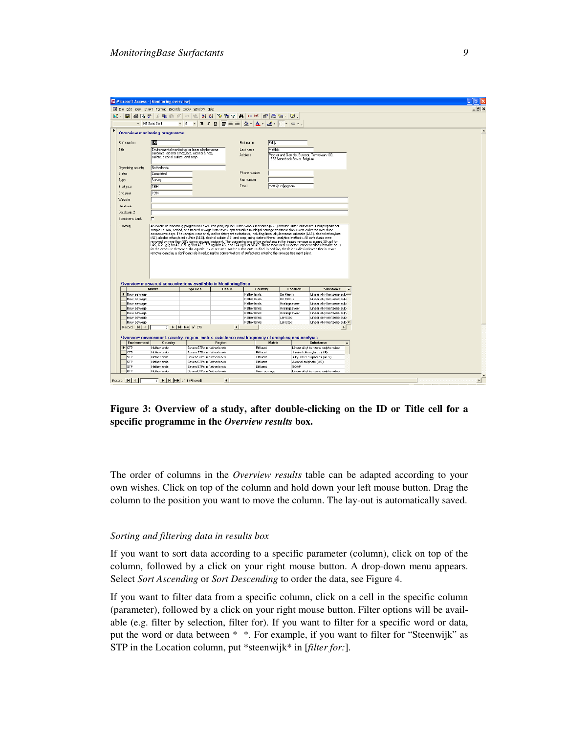|                                                                          | FB File Edit View Insert Format Records Tools Window Help                                                  |                                                                                                                                                                                                                                                                                                                                                                                                            |                                                                                  |                            |                               |                       |                                                                                                                                                                                                                                                                                                                                                                                                                                |  |  |
|--------------------------------------------------------------------------|------------------------------------------------------------------------------------------------------------|------------------------------------------------------------------------------------------------------------------------------------------------------------------------------------------------------------------------------------------------------------------------------------------------------------------------------------------------------------------------------------------------------------|----------------------------------------------------------------------------------|----------------------------|-------------------------------|-----------------------|--------------------------------------------------------------------------------------------------------------------------------------------------------------------------------------------------------------------------------------------------------------------------------------------------------------------------------------------------------------------------------------------------------------------------------|--|--|
| в                                                                        | <b>电电</b> 水                                                                                                | n                                                                                                                                                                                                                                                                                                                                                                                                          | 4119石74 ** 田田                                                                    |                            |                               | ☺.                    |                                                                                                                                                                                                                                                                                                                                                                                                                                |  |  |
| 48                                                                       | ₩                                                                                                          |                                                                                                                                                                                                                                                                                                                                                                                                            |                                                                                  |                            |                               |                       |                                                                                                                                                                                                                                                                                                                                                                                                                                |  |  |
|                                                                          | - MS Sans Serif                                                                                            | $-8$<br>$\overline{\phantom{a}}$                                                                                                                                                                                                                                                                                                                                                                           | <b>B</b> $I$ U $\equiv$ $\equiv$ $\equiv$ $\Delta$ $\sim$ $\Delta$ $\sim$ $\sim$ |                            |                               | $= -$                 |                                                                                                                                                                                                                                                                                                                                                                                                                                |  |  |
|                                                                          | <b>Overview monitoring programme</b>                                                                       |                                                                                                                                                                                                                                                                                                                                                                                                            |                                                                                  |                            |                               |                       |                                                                                                                                                                                                                                                                                                                                                                                                                                |  |  |
|                                                                          |                                                                                                            |                                                                                                                                                                                                                                                                                                                                                                                                            |                                                                                  |                            |                               |                       |                                                                                                                                                                                                                                                                                                                                                                                                                                |  |  |
| Ref. number                                                              | 偃                                                                                                          |                                                                                                                                                                                                                                                                                                                                                                                                            |                                                                                  | First name                 | Eddy                          |                       |                                                                                                                                                                                                                                                                                                                                                                                                                                |  |  |
| Title                                                                    |                                                                                                            | Environmental monitoring for linear alkylbenzene                                                                                                                                                                                                                                                                                                                                                           |                                                                                  | Last name                  | Matthiis                      |                       |                                                                                                                                                                                                                                                                                                                                                                                                                                |  |  |
|                                                                          |                                                                                                            | sulfonate, alcohol ethoxylate, alcohol ethoxy                                                                                                                                                                                                                                                                                                                                                              |                                                                                  | Address                    |                               |                       | Procter and Gamble, Eurocor, Temselaan 100,                                                                                                                                                                                                                                                                                                                                                                                    |  |  |
|                                                                          | sulfate, alcohol sulfate, and soap                                                                         |                                                                                                                                                                                                                                                                                                                                                                                                            |                                                                                  |                            | 1853 Strombeek-Bever, Belgium |                       |                                                                                                                                                                                                                                                                                                                                                                                                                                |  |  |
| <b>Organising country</b>                                                | Netherlands                                                                                                |                                                                                                                                                                                                                                                                                                                                                                                                            |                                                                                  |                            |                               |                       |                                                                                                                                                                                                                                                                                                                                                                                                                                |  |  |
| <b>Status</b>                                                            | Completed                                                                                                  |                                                                                                                                                                                                                                                                                                                                                                                                            |                                                                                  | Phone number               |                               |                       |                                                                                                                                                                                                                                                                                                                                                                                                                                |  |  |
|                                                                          |                                                                                                            |                                                                                                                                                                                                                                                                                                                                                                                                            |                                                                                  | Fax number                 |                               |                       |                                                                                                                                                                                                                                                                                                                                                                                                                                |  |  |
| Type                                                                     | Survey                                                                                                     |                                                                                                                                                                                                                                                                                                                                                                                                            |                                                                                  |                            |                               |                       |                                                                                                                                                                                                                                                                                                                                                                                                                                |  |  |
| Start year                                                               | 1994                                                                                                       |                                                                                                                                                                                                                                                                                                                                                                                                            |                                                                                  | Email                      | matthijs.e@pgcom              |                       |                                                                                                                                                                                                                                                                                                                                                                                                                                |  |  |
| End year                                                                 | 1994                                                                                                       |                                                                                                                                                                                                                                                                                                                                                                                                            |                                                                                  |                            |                               |                       |                                                                                                                                                                                                                                                                                                                                                                                                                                |  |  |
| Website                                                                  |                                                                                                            |                                                                                                                                                                                                                                                                                                                                                                                                            |                                                                                  |                            |                               |                       |                                                                                                                                                                                                                                                                                                                                                                                                                                |  |  |
| Databank                                                                 |                                                                                                            |                                                                                                                                                                                                                                                                                                                                                                                                            |                                                                                  |                            |                               |                       |                                                                                                                                                                                                                                                                                                                                                                                                                                |  |  |
| Databank <sub>2</sub>                                                    |                                                                                                            |                                                                                                                                                                                                                                                                                                                                                                                                            |                                                                                  |                            |                               |                       |                                                                                                                                                                                                                                                                                                                                                                                                                                |  |  |
| Specimens bank                                                           | г                                                                                                          |                                                                                                                                                                                                                                                                                                                                                                                                            |                                                                                  |                            |                               |                       |                                                                                                                                                                                                                                                                                                                                                                                                                                |  |  |
|                                                                          |                                                                                                            |                                                                                                                                                                                                                                                                                                                                                                                                            |                                                                                  |                            |                               |                       |                                                                                                                                                                                                                                                                                                                                                                                                                                |  |  |
|                                                                          |                                                                                                            | removed by more than 99% during sewage treatment. The concentrations of the surfactants in the treated sewage averaged 39 ug/l for<br>for the exposure element of the aquatic risk assessment for the surfactants studied. In addition, the field studies indicated that in-sewer<br>removal can play a significant role in reducing the concentrations of surfactants entering the sewage treatment plant |                                                                                  |                            |                               |                       | consecutive days. The samples were analysed for detergent surfactants, including linear alkylbenzene sulfonate (LAS), alcohol ethoxylate<br>[AE], alcohol ethoxylated sulfate [AES], alcohol sulfate [AS] and soap, using state-of-the-art analytical methods. All surfactants were<br>LAS, 6.2 ug/g for AE, 6.5 ug/l for AES, 5.7 ug/l for AS, and 174 ug/l for SOAP. These measured surfactant concentrations form the basis |  |  |
|                                                                          |                                                                                                            |                                                                                                                                                                                                                                                                                                                                                                                                            |                                                                                  |                            |                               |                       |                                                                                                                                                                                                                                                                                                                                                                                                                                |  |  |
|                                                                          |                                                                                                            |                                                                                                                                                                                                                                                                                                                                                                                                            |                                                                                  |                            |                               |                       |                                                                                                                                                                                                                                                                                                                                                                                                                                |  |  |
|                                                                          | Overview measured concentrations available in MonitoringBase                                               |                                                                                                                                                                                                                                                                                                                                                                                                            |                                                                                  |                            |                               |                       |                                                                                                                                                                                                                                                                                                                                                                                                                                |  |  |
|                                                                          | <b>Matrix</b>                                                                                              | <b>Species</b>                                                                                                                                                                                                                                                                                                                                                                                             | <b>Tissue</b>                                                                    | Country                    |                               | Location              | Substance                                                                                                                                                                                                                                                                                                                                                                                                                      |  |  |
| Raw sewage                                                               |                                                                                                            |                                                                                                                                                                                                                                                                                                                                                                                                            |                                                                                  | Netherlands<br>Netherlands | De Meern<br>De Meem           |                       | Linear alkyl benzene sulp-<br>Linear alkyl benzene sulp                                                                                                                                                                                                                                                                                                                                                                        |  |  |
| Raw sewage                                                               |                                                                                                            |                                                                                                                                                                                                                                                                                                                                                                                                            |                                                                                  | Netherlands                | Kralingseveer                 |                       | Linear alkyl benzene sulp                                                                                                                                                                                                                                                                                                                                                                                                      |  |  |
| Raw sewage                                                               |                                                                                                            |                                                                                                                                                                                                                                                                                                                                                                                                            |                                                                                  | Netherlands                | Kralingseveer                 |                       | Linear alkyl benzene sulp                                                                                                                                                                                                                                                                                                                                                                                                      |  |  |
| Raw sewage                                                               |                                                                                                            |                                                                                                                                                                                                                                                                                                                                                                                                            |                                                                                  | Netherlands                | Kralingseveer                 |                       | Linear alkyl benzene sulp                                                                                                                                                                                                                                                                                                                                                                                                      |  |  |
| Raw sewage                                                               |                                                                                                            |                                                                                                                                                                                                                                                                                                                                                                                                            |                                                                                  | <b>Netherlands</b>         | Lelystad                      |                       | Linear alkyl benzene sulp                                                                                                                                                                                                                                                                                                                                                                                                      |  |  |
| Raw sewage                                                               |                                                                                                            |                                                                                                                                                                                                                                                                                                                                                                                                            |                                                                                  | Netherlands                | Lelystad                      |                       | Linear alkyl benzene sulp *                                                                                                                                                                                                                                                                                                                                                                                                    |  |  |
|                                                                          |                                                                                                            | $\overline{1}$ >   >   $\rightarrow$   $\rightarrow$ #   of 175                                                                                                                                                                                                                                                                                                                                            | $\overline{4}$                                                                   |                            |                               |                       |                                                                                                                                                                                                                                                                                                                                                                                                                                |  |  |
|                                                                          |                                                                                                            |                                                                                                                                                                                                                                                                                                                                                                                                            |                                                                                  |                            |                               |                       |                                                                                                                                                                                                                                                                                                                                                                                                                                |  |  |
| <b>Environment</b>                                                       | Overview environment, country, region, matrix, substance and frequency of sampling and analysis<br>Country |                                                                                                                                                                                                                                                                                                                                                                                                            | Region                                                                           |                            | <b>Matrix</b>                 |                       | <b>Substance</b>                                                                                                                                                                                                                                                                                                                                                                                                               |  |  |
| <b>STP</b>                                                               | Netherlands                                                                                                | Seven STPs in Netherlands                                                                                                                                                                                                                                                                                                                                                                                  |                                                                                  | Effluent                   |                               |                       | Linear alkyl benzene sulphonates                                                                                                                                                                                                                                                                                                                                                                                               |  |  |
| STP                                                                      | Netherlands                                                                                                | Seven STPs in Netherlands                                                                                                                                                                                                                                                                                                                                                                                  |                                                                                  | Effluent                   |                               |                       | Alcohol ethoxylates (AF)                                                                                                                                                                                                                                                                                                                                                                                                       |  |  |
| <b>STP</b>                                                               | Netherlands                                                                                                | Seven STPs in Netherlands                                                                                                                                                                                                                                                                                                                                                                                  |                                                                                  | Effluent                   |                               |                       | Alkyl ether sulphates (AES)                                                                                                                                                                                                                                                                                                                                                                                                    |  |  |
| STP                                                                      | Netherlands                                                                                                | Seven STPs in Netherlands                                                                                                                                                                                                                                                                                                                                                                                  |                                                                                  | Effluent                   |                               | Alcohol sulphate (AS) |                                                                                                                                                                                                                                                                                                                                                                                                                                |  |  |
| Raw sewage<br>Record: 14 4<br>$\blacktriangleright$<br><b>STP</b><br>STP | Netherlands<br>Netherlands                                                                                 | Seven STPs in Netherlands<br>Seven STPs in Netherlands                                                                                                                                                                                                                                                                                                                                                     |                                                                                  | <b>Effluent</b>            | Raw sewage                    | SOAP                  | Linear alkyl benzene sulphonates                                                                                                                                                                                                                                                                                                                                                                                               |  |  |

#### **Figure 3: Overview of a study, after double-clicking on the ID or Title cell for a specific programme in the** *Overview results* **box.**

The order of columns in the *Overview results* table can be adapted according to your own wishes. Click on top of the column and hold down your left mouse button. Drag the column to the position you want to move the column. The lay-out is automatically saved.

#### *Sorting and filtering data in results box*

If you want to sort data according to a specific parameter (column), click on top of the column, followed by a click on your right mouse button. A drop-down menu appears. Select *Sort Ascending* or *Sort Descending* to order the data, see Figure 4.

If you want to filter data from a specific column, click on a cell in the specific column (parameter), followed by a click on your right mouse button. Filter options will be available (e.g. filter by selection, filter for). If you want to filter for a specific word or data, put the word or data between \* \*. For example, if you want to filter for "Steenwijk" as STP in the Location column, put \*steenwijk\* in [*filter for:*].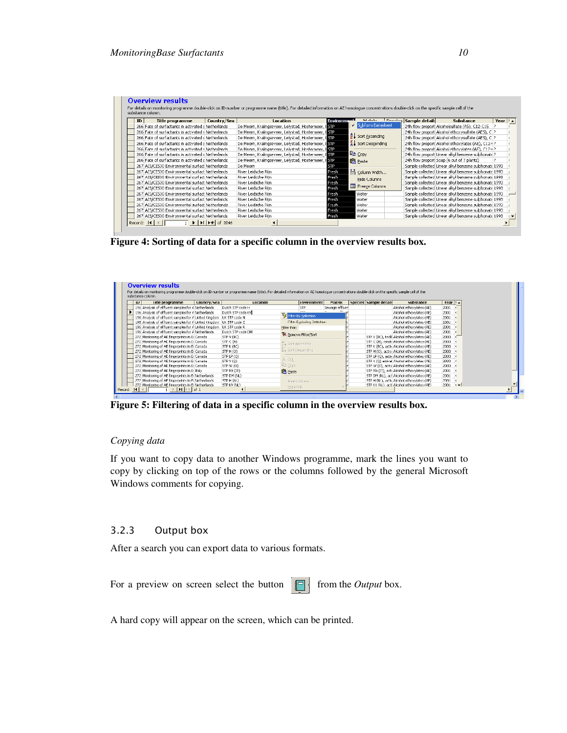| ID | Title programme                                    | Country/Sea | Location                                            | <b>Environment</b> | Modeline                     | <b>Engrises</b> Sample details | Substance                                             | Year $! \cdot \cdot$ |
|----|----------------------------------------------------|-------------|-----------------------------------------------------|--------------------|------------------------------|--------------------------------|-------------------------------------------------------|----------------------|
|    | 266 Fate of surfactants in activated s Netherlands |             | De Meern, Kralingseveer, Lelystad, Hostermeer, ISTP |                    | Subform Datasheet            |                                | 24h flow proport Alcoholsulfate (AS), C12-C15         |                      |
|    | 266 Fate of surfactants in activated s Netherlands |             | De Meern, Kralingseveer, Lelystad, Hostermeer, ISTP |                    |                              |                                | 24h flow proport Alcohol ethoxysulfate (AES), C ?     |                      |
|    | 266 Fate of surfactants in activated s Netherlands |             | De Meern, Kralingseveer, Lelystad, Hostermeer,      | 1 STP              | $\frac{A}{2}$ Sort Ascending |                                | 24h flow proport Alcohol ethoxysulfate (AES), C ?     |                      |
|    | 266 Fate of surfactants in activated s Netherlands |             | De Meern, Kralingseveer, Lelystad, Hostermeer,      | <b>ISTP</b>        | <b>Z</b> Sort Descending     |                                | 24h flow proport Alcohol ethoxylates (AE), C12-1?     |                      |
|    | 266 Fate of surfactants in activated s Netherlands |             | De Meern, Kralingseveer, Lelystad, Hostermeer,      | <b>I</b> STP       |                              |                                | 24h flow proport Alcohol ethoxylates (AE), C12-1?     |                      |
|    | 266 Fate of surfactants in activated s Netherlands |             | De Meern, Kralingseveer, Lelystad, Hostermeer, ISTP |                    | le Copy                      |                                | 24h flow proport Linear alkyl benzene sulphonate ?    |                      |
|    | 266 Fate of surfactants in activated s Netherlands |             | De Meern, Kralingseveer, Lelystad, Hostermeer       | <b>STP</b>         | <b>B</b> Paste               |                                | 24h flow proport Soap (6 out of 7 plants)             |                      |
|    | 267 AIS/CESIO Environmental surfact Netherlands    |             | De Meern                                            | <b>STP</b>         |                              |                                | Sample collected Linear alkyl benzene sulphonate 1993 |                      |
|    | 267 AIS/CESIO Environmental surfact Netherlands    |             | River Leidsche Riin                                 | Fresh              | i台 Column Width              |                                | Sample collected Linear alkyl benzene sulphonate 1993 |                      |
|    | 267 AIS/CESIO Environmental surfact Netherlands    |             | River Leidsche Rijn                                 | Fresh              | Hide Columns                 |                                | Sample collected Linear alkyl benzene sulphonate 1993 |                      |
|    | 267 AIS/CESIO Environmental surfact Netherlands    |             | River Leidsche Rijn                                 | Fresh              | Freeze Columns               |                                | Sample collected Linear alkyl benzene sulphonate 1993 |                      |
|    | 267 AIS/CESIO Environmental surfact Netherlands    |             | River Leidsche Riin                                 | Fresh              |                              |                                | Sample collected Linear alkyl benzene sulphonate 1993 |                      |
|    | 267 AIS/CESIO Environmental surfact Netherlands    |             | River Leidsche Rijn                                 | Fresh              | Water                        |                                | Sample collected Linear alkyl benzene sulphonate 1993 |                      |
|    | 267 AIS/CESIO Environmental surfact Netherlands    |             | River Leidsche Riin                                 | Fresh              | Water                        |                                | Sample collected Linear alkyl benzene sulphonate 1993 |                      |
|    | 267 AIS/CESIO Environmental surfact Netherlands    |             | River Leidsche Rijn                                 | Fresh              | Water                        |                                | Sample collected Linear alkyl benzene sulphonate 1993 |                      |
|    | 267 AIS/CESIO Environmental surfact Netherlands    |             | River Leidsche Rijn                                 | Fresh              | Water                        |                                | Sample collected Linear alkyl benzene sulphonate 1993 |                      |
|    | 267 AIS/CESIO Environmental surfact Netherlands    |             | River Leidsche Riin                                 | Fresh              | Water                        |                                | Sample collected Linear alkyl benzene sulphonate 1993 |                      |



| ID.<br>Title programme                                                | Country/Sea | Location          |                     | <b>Environment</b>         | Matrix         | Species Sample details | Substance                                  | Year $! \cdot \cdot$    |  |
|-----------------------------------------------------------------------|-------------|-------------------|---------------------|----------------------------|----------------|------------------------|--------------------------------------------|-------------------------|--|
| 196 Analysis of effluent samples for A Netherlands                    |             | Dutch STP code H  |                     | <b>STP</b>                 | Sewage effluer |                        | Alcohol ethoxylates (AE)                   | 2001                    |  |
| 196 Analysis of effluent samples for A Netherlands                    |             | Dutch STP code KV |                     |                            |                |                        | Alcohol ethoxylates (AE)                   | 2001                    |  |
| 196 Analysis of effluent samples for A United Kingdom   UK STP code N |             |                   | Filter By Selection |                            |                |                        | Alcohol ethoxylates (AE)                   | 2001                    |  |
| 196 Analysis of effluent samples for A United Kingdom   UK STP code C |             |                   |                     | Filter Excluding Selection |                |                        | Alculiul ethuxylates (AE)                  | 2001                    |  |
| 196 Analysis of effluent samples for A United Kingdom   UK STP code R |             |                   | Filter For:         |                            |                |                        | Alcohol ethoxylates (AE)                   | 2001                    |  |
| 196 Analysis of effluent samples for A Netherlands                    |             | Dutch STP code DM |                     | K Remove Filter/Sort       |                |                        | Alcohol ethoxylates (AE)                   | 2001                    |  |
| 272 Monitoring of AE fingerprints in El Canada                        |             | STP V (BC)        |                     |                            |                |                        | STP V (BC), trick Alcohol ethoxylates (AE) | 2003                    |  |
| 272 Monitoring of AE fingerprints in Ei Canada                        |             | $STP \subset (A)$ | 웃↓ Sort Ascending   |                            |                |                        | STP C (A), rotati Alcohol othoxylates (AE) | 2003                    |  |
| 272 Monitoring of AE fingerprints in Ei Canada                        |             | STP K (BC)        |                     |                            |                |                        | STP K (BC), activ Alcohol ethoxylates (AE) | 2003                    |  |
| 272 Monitoring of AE fingerprints in El Canada                        |             | STP H (O)         | ₹↓ Sort Descending  |                            |                |                        | STP H (O), activa Alcohol ethoxylates (AE) | 2003                    |  |
| 272 Monitoring of AE fingerprints in Ei Canada                        |             | STP LP (O)        |                     |                            |                |                        | STP LP (Q), activ Alcohol ethoxylates (AE) | 2003                    |  |
| 272 Monitoring of AE fingerprints in El Canada                        |             | STP V(Q)          | % Cut               |                            |                |                        | STP V (Q) actival Alcohol ethoxylates (AE) | 2003                    |  |
| 272 Monitoring of AE fingerprints in Ei Canada                        |             | STP W (O)         | hin Copy            |                            |                |                        | STP W (O), activ Alcohol ethoxylates (AE)  | 2003                    |  |
| 272 Monitoring of AE fingerprints in El Italy                         |             | STP Rb (IT)       | <b>隐</b> Paste      |                            |                |                        | STP Rb (IT), acti Alcohol ethoxylates (AE) | 2001                    |  |
| 272 Monitoring of AE fingerprints in Ei Netherlands                   |             | STP DM (NL)       |                     |                            |                |                        | STP DM (NL), act Alcohol ethoxylates (AE)  | 2001                    |  |
| 272 Monitoring of AE fingerprints in Ei Netherlands                   |             | STP H (NL)        |                     | Insert Object              |                |                        | STP H (NL), activ Alcohol ethoxylates (AE) | $2001$ (                |  |
| 272 Monitoring of AE fingerprints in Ei Netherlands                   |             | STP KV (NL)       | <b>Hyperlink</b>    |                            |                |                        | STP KV (NL), acti Alcohol ethoxylates (AE) | $2001$ $\left  \right $ |  |

**Figure 5: Filtering of data in a specific column in the overview results box.** 

# *Copying data*

If you want to copy data to another Windows programme, mark the lines you want to copy by clicking on top of the rows or the columns followed by the general Microsoft Windows comments for copying.

## 3.2.3 Output box

After a search you can export data to various formats.

For a preview on screen select the button **F** from the *Output* box.

A hard copy will appear on the screen, which can be printed.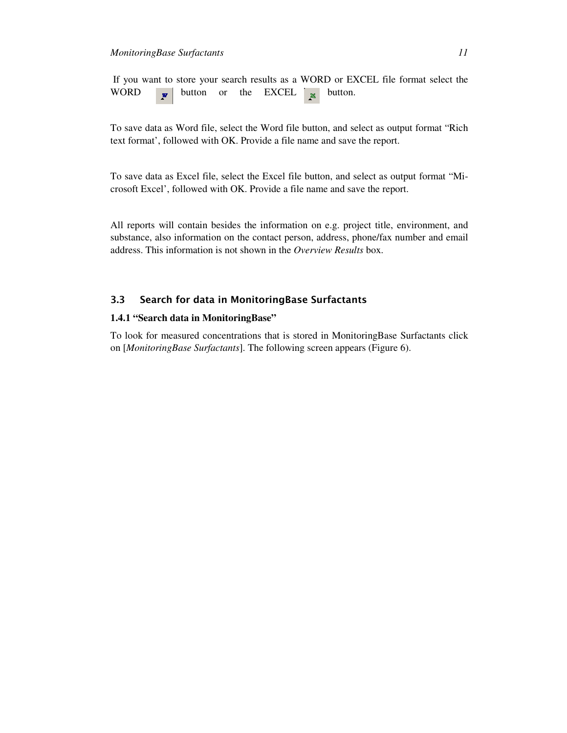If you want to store your search results as a WORD or EXCEL file format select the WORD button or the EXCEL button.

To save data as Word file, select the Word file button, and select as output format "Rich text format', followed with OK. Provide a file name and save the report.

To save data as Excel file, select the Excel file button, and select as output format "Microsoft Excel', followed with OK. Provide a file name and save the report.

All reports will contain besides the information on e.g. project title, environment, and substance, also information on the contact person, address, phone/fax number and email address. This information is not shown in the *Overview Results* box.

# 3.3 Search for data in MonitoringBase Surfactants

#### **1.4.1 "Search data in MonitoringBase"**

To look for measured concentrations that is stored in MonitoringBase Surfactants click on [*MonitoringBase Surfactants*]. The following screen appears (Figure 6).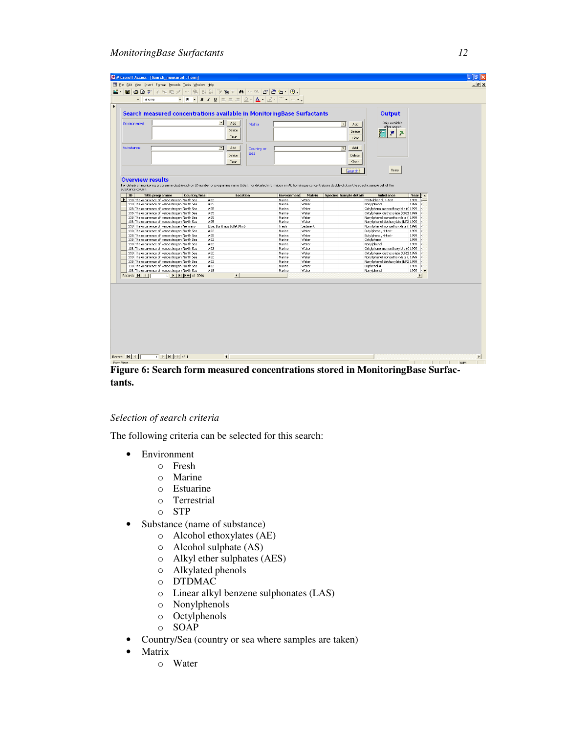#### *MonitoringBase Surfactants 12*

| - Tahoma<br>Search measured concentrations available in MonitoringBase Surfactants                                                                                                                                    |                                                                                |                           |                        | 3 억초 # - 이용  24 21 7 점 T   A   > * *   6   조   조   조                                                                                                                                                                                                                                                                                                                                                                                                           |                  |                |                                 |                                                                          |                   |                            |  |
|-----------------------------------------------------------------------------------------------------------------------------------------------------------------------------------------------------------------------|--------------------------------------------------------------------------------|---------------------------|------------------------|----------------------------------------------------------------------------------------------------------------------------------------------------------------------------------------------------------------------------------------------------------------------------------------------------------------------------------------------------------------------------------------------------------------------------------------------------------------|------------------|----------------|---------------------------------|--------------------------------------------------------------------------|-------------------|----------------------------|--|
|                                                                                                                                                                                                                       |                                                                                |                           |                        | $\bullet \ 10 \  \  \bullet \  \  \, \mathbf{B} \  \  \, \mathbf{I} \  \  \, \mathbf{U} \  \  \, \mathbf{E} \, \equiv \, \equiv \  \, \mathbf{E} \, \mathbf{A} \cdot \mathbf{A} \cdot \mathbf{A} \cdot \mathbf{A} \cdot \mathbf{E} \cdot \mathbf{F} \cdot \mathbf{F} \cdot \mathbf{F} \cdot \mathbf{F} \cdot \mathbf{F} \cdot \mathbf{F} \cdot \mathbf{F} \cdot \mathbf{F} \cdot \mathbf{F} \cdot \mathbf{F} \cdot \mathbf{F} \cdot \mathbf{F} \cdot \mathbf{$ |                  |                |                                 |                                                                          |                   |                            |  |
|                                                                                                                                                                                                                       |                                                                                |                           |                        |                                                                                                                                                                                                                                                                                                                                                                                                                                                                |                  |                |                                 |                                                                          |                   |                            |  |
|                                                                                                                                                                                                                       |                                                                                |                           |                        |                                                                                                                                                                                                                                                                                                                                                                                                                                                                |                  |                |                                 | Output                                                                   |                   |                            |  |
| Environment                                                                                                                                                                                                           |                                                                                | $\blacktriangledown$      | Add                    | Matrix                                                                                                                                                                                                                                                                                                                                                                                                                                                         |                  |                | $\overline{\phantom{a}}$<br>Add | Only available<br>after search                                           |                   |                            |  |
|                                                                                                                                                                                                                       |                                                                                |                           | <b>Delete</b>          |                                                                                                                                                                                                                                                                                                                                                                                                                                                                |                  |                | Delete                          | P                                                                        |                   |                            |  |
|                                                                                                                                                                                                                       |                                                                                |                           | Clear                  |                                                                                                                                                                                                                                                                                                                                                                                                                                                                |                  |                | Clear                           | ×                                                                        |                   |                            |  |
|                                                                                                                                                                                                                       |                                                                                |                           |                        |                                                                                                                                                                                                                                                                                                                                                                                                                                                                |                  |                |                                 |                                                                          |                   |                            |  |
| Substance                                                                                                                                                                                                             |                                                                                | $\overline{\phantom{a}}$  | Add                    | Country or                                                                                                                                                                                                                                                                                                                                                                                                                                                     |                  |                | Add<br>$\blacksquare$           |                                                                          |                   |                            |  |
|                                                                                                                                                                                                                       |                                                                                |                           | <b>Delete</b>          | Sea                                                                                                                                                                                                                                                                                                                                                                                                                                                            |                  |                | Delete                          |                                                                          |                   |                            |  |
|                                                                                                                                                                                                                       |                                                                                |                           | Clear                  |                                                                                                                                                                                                                                                                                                                                                                                                                                                                |                  |                | Clear                           |                                                                          |                   |                            |  |
|                                                                                                                                                                                                                       |                                                                                |                           |                        |                                                                                                                                                                                                                                                                                                                                                                                                                                                                |                  |                | <b>Search</b>                   | Home                                                                     |                   |                            |  |
|                                                                                                                                                                                                                       |                                                                                |                           |                        |                                                                                                                                                                                                                                                                                                                                                                                                                                                                |                  |                |                                 |                                                                          |                   |                            |  |
| <b>Overview results</b>                                                                                                                                                                                               |                                                                                |                           |                        |                                                                                                                                                                                                                                                                                                                                                                                                                                                                |                  |                |                                 |                                                                          |                   |                            |  |
| For details on monitoring programme double-click on ID number or programme name (title). For detailed information on AE homologue concentrations double-click on the specific sample cell of the<br>substance column. |                                                                                |                           |                        |                                                                                                                                                                                                                                                                                                                                                                                                                                                                |                  |                |                                 |                                                                          |                   |                            |  |
| ID<br><b>Title programme</b>                                                                                                                                                                                          | Country/Sea                                                                    |                           |                        | Location                                                                                                                                                                                                                                                                                                                                                                                                                                                       | Environment      | Matrix         | <b>Species Sample details</b>   | Substance                                                                | Year $\mathbf{A}$ |                            |  |
| 138 The occurrence of xenoestrogen: North Sea<br>138 The occurrence of xenoestrogen: North Sea                                                                                                                        |                                                                                | #02<br>#05                |                        |                                                                                                                                                                                                                                                                                                                                                                                                                                                                | Marine<br>Marine | Water<br>Water |                                 | Pentylphenol, 4-tert<br>Nonylphenol                                      | 1999<br>1999      | $\sim$                     |  |
| 138 The occurrence of xenoestrogen: North Sea                                                                                                                                                                         |                                                                                | #05                       |                        |                                                                                                                                                                                                                                                                                                                                                                                                                                                                | Marine           | Water          |                                 | Octylphenol monoethoxylate (C 1999                                       |                   |                            |  |
| 138 The occurrence of xenoestrogen: North Sea                                                                                                                                                                         |                                                                                | #05                       |                        |                                                                                                                                                                                                                                                                                                                                                                                                                                                                | Marine           | Water          |                                 | Octylphenol diethoxylate (OP2E 1999 (                                    |                   |                            |  |
| 138 The occurrence of xenoestrogen: North Sea<br>138 The occurrence of xenoestrogen: North Sea                                                                                                                        |                                                                                | #05<br>#05                |                        |                                                                                                                                                                                                                                                                                                                                                                                                                                                                | Marine<br>Marine | Water<br>Water |                                 | Nonvighenol monoethoxylate (1999)<br>Nonyliphenol diethoxylate (NP2 1999 |                   | $\overline{6}$<br><b>x</b> |  |
| 138 The occurrence of xenoestrogen: Germany                                                                                                                                                                           |                                                                                | Elbe, Bunthaus (609.8 km) |                        |                                                                                                                                                                                                                                                                                                                                                                                                                                                                | Fresh            | Sedment        |                                 | Nonyliphenol monoethoxylate (1998)                                       |                   | k                          |  |
| 138 The occurrence of xenoestrogen: North Sea<br>138 The occurrence of xenoestrogen: North Sea                                                                                                                        |                                                                                | #02<br>#05                |                        |                                                                                                                                                                                                                                                                                                                                                                                                                                                                | Marine<br>Marine | Water<br>Water |                                 | Butylphenol, 4-tert-<br>Butylphenol, 4-tert-                             | 1999<br>1999      | <b>r</b>                   |  |
| 138 The occurrence of xenoestrogen: North Sea                                                                                                                                                                         |                                                                                | #02                       |                        |                                                                                                                                                                                                                                                                                                                                                                                                                                                                | Marine           | Water          |                                 | Octylphenol                                                              | 1999              |                            |  |
| 138 The occurrence of xenoestrogen: North Sea<br>138 The occurrence of xenoestrogen: North Sea                                                                                                                        |                                                                                | #02<br>#02                |                        |                                                                                                                                                                                                                                                                                                                                                                                                                                                                | Marine<br>Marine | Water<br>Water |                                 | Nonylphenol<br>Octylphenol monoethoxylate (C 1999                        | 1999              |                            |  |
| 138 The occurrence of xenoestrogen: North Sea                                                                                                                                                                         |                                                                                | #02                       |                        |                                                                                                                                                                                                                                                                                                                                                                                                                                                                | Marine           | Water          |                                 | Octylphenol diethoxylate (OP2E 1999                                      |                   |                            |  |
| 138 The occurrence of xenoestrogen: North Sea                                                                                                                                                                         |                                                                                | \$UZ\$                    |                        |                                                                                                                                                                                                                                                                                                                                                                                                                                                                | Manne            | Water          |                                 | Nonyliphenol monoethoxylate (1999                                        |                   | $\epsilon$                 |  |
| 138 The occurrence of xenoestrogen: North Sea<br>138 The occurrence of xenoestrogen: North Sea                                                                                                                        |                                                                                | #02<br>#02                |                        |                                                                                                                                                                                                                                                                                                                                                                                                                                                                | Marine<br>Marine | Water<br>Water |                                 | Nonyliphenol diethoxylate (NP2 1999<br>Bisphenol-A                       | 1999 (            | $\epsilon$                 |  |
|                                                                                                                                                                                                                       | 138 The occurrence of xenoestrogen: North Sea                                  | #18                       |                        |                                                                                                                                                                                                                                                                                                                                                                                                                                                                | Marine           | Water          |                                 | Nonylphenol                                                              | 1999 $($          |                            |  |
| Record: 14   4   F                                                                                                                                                                                                    | $\overline{1}$ >   >   $\blacktriangleright$   $\blacktriangleright$   or 2046 |                           | $\left  \cdot \right $ |                                                                                                                                                                                                                                                                                                                                                                                                                                                                |                  |                |                                 |                                                                          |                   | $\mathbf{E}$               |  |

**Figure 6: Search form measured concentrations stored in MonitoringBase Surfactants.** 

#### *Selection of search criteria*

The following criteria can be selected for this search:

- Environment
	- o Fresh
	- o Marine
	- o Estuarine
	- o Terrestrial
	- o STP
- Substance (name of substance)
	- o Alcohol ethoxylates (AE)
	- o Alcohol sulphate (AS)
	- o Alkyl ether sulphates (AES)
	- o Alkylated phenols
	- o DTDMAC
	- o Linear alkyl benzene sulphonates (LAS)
	- o Nonylphenols
	- o Octylphenols
	- o SOAP
- Country/Sea (country or sea where samples are taken)
- Matrix

o Water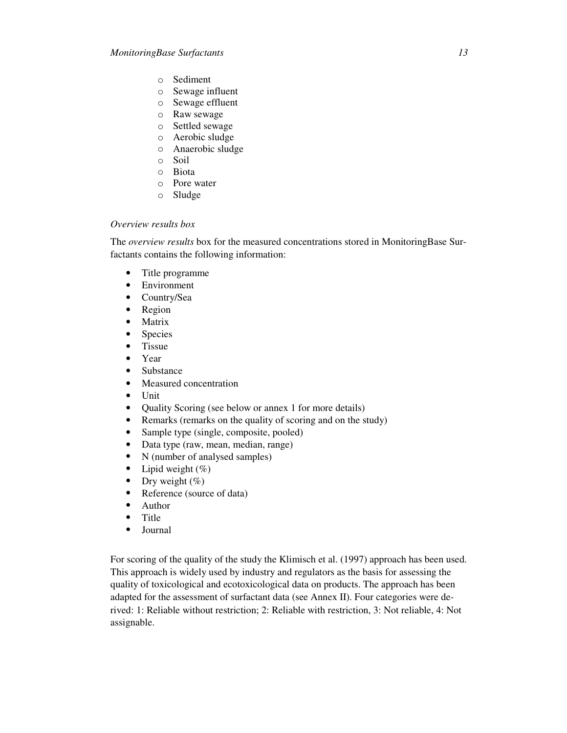- o Sediment
- o Sewage influent
- o Sewage effluent
- o Raw sewage
- o Settled sewage
- o Aerobic sludge
- o Anaerobic sludge
- o Soil
- o Biota
- o Pore water
- o Sludge

#### *Overview results box*

The *overview results* box for the measured concentrations stored in MonitoringBase Surfactants contains the following information:

- Title programme
- Environment
- Country/Sea
- Region
- Matrix
- Species
- Tissue
- Year
- Substance
- Measured concentration
- Unit
- Quality Scoring (see below or annex 1 for more details)
- Remarks (remarks on the quality of scoring and on the study)
- Sample type (single, composite, pooled)
- Data type (raw, mean, median, range)
- N (number of analysed samples)
- Lipid weight  $(\%)$
- Dry weight  $(\%)$
- Reference (source of data)
- Author
- Title
- Journal

For scoring of the quality of the study the Klimisch et al. (1997) approach has been used. This approach is widely used by industry and regulators as the basis for assessing the quality of toxicological and ecotoxicological data on products. The approach has been adapted for the assessment of surfactant data (see Annex II). Four categories were derived: 1: Reliable without restriction; 2: Reliable with restriction, 3: Not reliable, 4: Not assignable.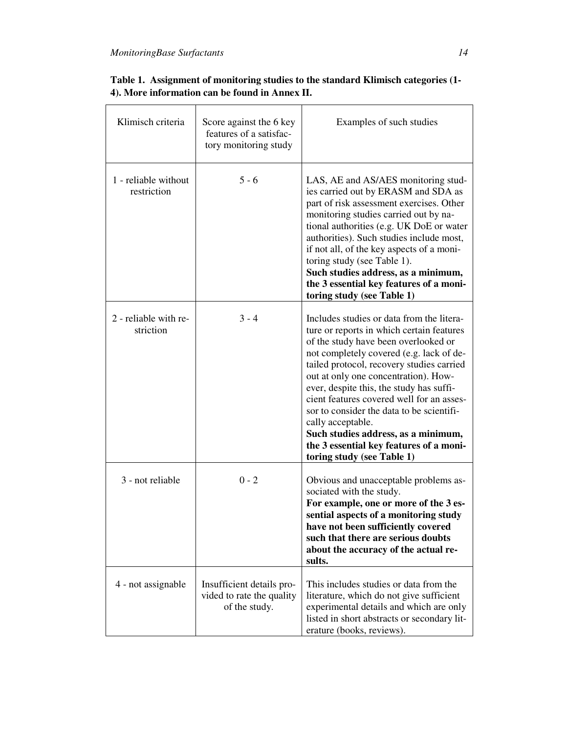| Klimisch criteria                   | Score against the 6 key<br>features of a satisfac-<br>tory monitoring study | Examples of such studies                                                                                                                                                                                                                                                                                                                                                                                                                                                                                                                   |
|-------------------------------------|-----------------------------------------------------------------------------|--------------------------------------------------------------------------------------------------------------------------------------------------------------------------------------------------------------------------------------------------------------------------------------------------------------------------------------------------------------------------------------------------------------------------------------------------------------------------------------------------------------------------------------------|
| 1 - reliable without<br>restriction | $5 - 6$                                                                     | LAS, AE and AS/AES monitoring stud-<br>ies carried out by ERASM and SDA as<br>part of risk assessment exercises. Other<br>monitoring studies carried out by na-<br>tional authorities (e.g. UK DoE or water<br>authorities). Such studies include most,<br>if not all, of the key aspects of a moni-<br>toring study (see Table 1).<br>Such studies address, as a minimum,<br>the 3 essential key features of a moni-<br>toring study (see Table 1)                                                                                        |
| 2 - reliable with re-<br>striction  | $3 - 4$                                                                     | Includes studies or data from the litera-<br>ture or reports in which certain features<br>of the study have been overlooked or<br>not completely covered (e.g. lack of de-<br>tailed protocol, recovery studies carried<br>out at only one concentration). How-<br>ever, despite this, the study has suffi-<br>cient features covered well for an asses-<br>sor to consider the data to be scientifi-<br>cally acceptable.<br>Such studies address, as a minimum,<br>the 3 essential key features of a moni-<br>toring study (see Table 1) |
| 3 - not reliable                    | $0 - 2$                                                                     | Obvious and unacceptable problems as-<br>sociated with the study.<br>For example, one or more of the 3 es-<br>sential aspects of a monitoring study<br>have not been sufficiently covered<br>such that there are serious doubts<br>about the accuracy of the actual re-<br>sults.                                                                                                                                                                                                                                                          |
| 4 - not assignable                  | Insufficient details pro-<br>vided to rate the quality<br>of the study.     | This includes studies or data from the<br>literature, which do not give sufficient<br>experimental details and which are only<br>listed in short abstracts or secondary lit-<br>erature (books, reviews).                                                                                                                                                                                                                                                                                                                                  |

**Table 1. Assignment of monitoring studies to the standard Klimisch categories (1- 4). More information can be found in Annex II.**

۳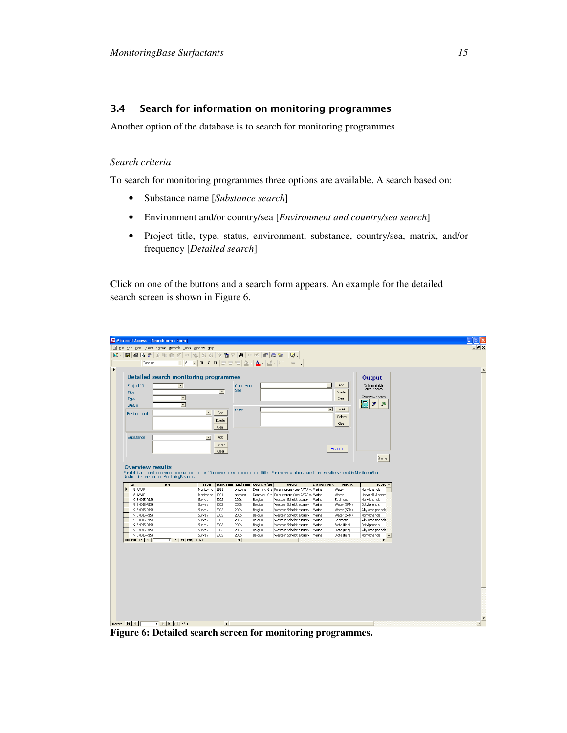#### 3.4 Search for information on monitoring programmes

Another option of the database is to search for monitoring programmes.

#### *Search criteria*

To search for monitoring programmes three options are available. A search based on:

- Substance name [*Substance search*]
- Environment and/or country/sea [*Environment and country/sea search*]
- Project title, type, status, environment, substance, country/sea, matrix, and/or frequency [*Detailed search*]

Click on one of the buttons and a search form appears. An example for the detailed search screen is shown in Figure 6.

| Project ID<br>Title |                                                        |                                                                                                                                                                   |                          |                                 |                    |                                                                    |                                         |                          |                                                                   |  |
|---------------------|--------------------------------------------------------|-------------------------------------------------------------------------------------------------------------------------------------------------------------------|--------------------------|---------------------------------|--------------------|--------------------------------------------------------------------|-----------------------------------------|--------------------------|-------------------------------------------------------------------|--|
|                     |                                                        | Detailed search monitoring programmes                                                                                                                             |                          |                                 |                    |                                                                    |                                         |                          | Output                                                            |  |
|                     |                                                        | $\overline{\phantom{a}}$                                                                                                                                          |                          | Country or                      |                    |                                                                    | $\overline{\phantom{a}}$                | Add                      | Only available                                                    |  |
|                     |                                                        |                                                                                                                                                                   | $\overline{\phantom{a}}$ | Sea                             |                    |                                                                    |                                         | Delete                   | after search                                                      |  |
| Type                |                                                        | $\overline{\phantom{a}}$                                                                                                                                          |                          |                                 |                    |                                                                    |                                         | Clear                    | Overview search                                                   |  |
| <b>Status</b>       |                                                        | $\overline{\phantom{0}}$                                                                                                                                          |                          |                                 |                    |                                                                    |                                         |                          | W<br>×                                                            |  |
|                     |                                                        |                                                                                                                                                                   |                          | Matrix                          |                    |                                                                    | $\bullet$                               | Add                      |                                                                   |  |
|                     | Environment                                            | $\overline{\phantom{a}}$                                                                                                                                          | Add                      |                                 |                    |                                                                    |                                         | Delete                   |                                                                   |  |
|                     |                                                        |                                                                                                                                                                   | Delete                   |                                 |                    |                                                                    |                                         | Clear                    |                                                                   |  |
|                     |                                                        |                                                                                                                                                                   | Clear                    |                                 |                    |                                                                    |                                         |                          |                                                                   |  |
|                     |                                                        |                                                                                                                                                                   |                          |                                 |                    |                                                                    |                                         |                          |                                                                   |  |
| Substance           |                                                        | $\blacktriangledown$                                                                                                                                              | Add                      |                                 |                    |                                                                    |                                         |                          |                                                                   |  |
|                     |                                                        |                                                                                                                                                                   | Delete                   |                                 |                    |                                                                    |                                         |                          |                                                                   |  |
|                     |                                                        |                                                                                                                                                                   | Clear                    |                                 |                    |                                                                    |                                         | Search                   |                                                                   |  |
|                     |                                                        |                                                                                                                                                                   |                          |                                 |                    |                                                                    |                                         |                          | [Home]                                                            |  |
|                     |                                                        |                                                                                                                                                                   |                          |                                 |                    |                                                                    |                                         |                          |                                                                   |  |
| ID                  | double-click on selected MonitoringBase cell.<br>Title | For details of monitoring programme double-click on ID number or programme name (title). For overview of measured concentrations stored in MonitoringBase<br>Type |                          | Start year End year Country/Ser |                    | Region                                                             | <b><i><u><u>Environment</u></u></i></b> | Matrix                   | subst $\sim$                                                      |  |
|                     | 8 AMAP                                                 | Monitoring 1991                                                                                                                                                   |                          | ongoing                         |                    | Denmark, Grei Polar regions (see AMAP w Marine                     |                                         | Water                    | Nonylphenols                                                      |  |
|                     | 8 AMAP                                                 | Monitoring                                                                                                                                                        | 1991                     | ongoing                         |                    | Denmark, Grei Polar regions (see AMAP v. Marine                    |                                         | Water                    | Linear alkyl benze                                                |  |
|                     | 9 ENDIS-RISK                                           | Survey                                                                                                                                                            | 2002                     | 2006                            | Belgium            | Western Scheldt estuary                                            | Marine                                  | Sediment                 | Nonylphenols                                                      |  |
|                     | 9 ENDIS-RISK                                           | Survey                                                                                                                                                            | 2002                     | 2006                            | Belgium            | Western Scheldt estuary Marine                                     |                                         | Water (SPM)              | Octylphenols                                                      |  |
|                     | 9 ENDIS-RISK                                           | Survey                                                                                                                                                            | 2002                     | 2006                            | Belgium            | Western Scheldt estuary Marine                                     |                                         | Water (SPM)              | Alkylated phenols                                                 |  |
|                     | 9 ENDIS-RISK                                           | Survey<br>Survey                                                                                                                                                  | 2002<br>2002             | 2006<br>2006                    | Belgium<br>Belgium | Western Scheldt estuary Marine                                     |                                         | Water (SPM)              | Nonylphenols                                                      |  |
|                     | 9 ENDIS-RISK<br>9 ENDIS-RISK                           | Survey                                                                                                                                                            | 2002                     | 2006                            | Belgium            | Western Scheldt estuary Marine<br>Western Scheldt estuary   Marine |                                         | Sediment<br>Biota (fish) | Alkylated phenols<br>Octylphenols                                 |  |
|                     | 9 ENDIS-RISK                                           | Survey                                                                                                                                                            | 2002                     | 2006                            | Belgium            | Western Scheldt estuarv                                            | Marine                                  | Biota (fish)             | Alkvlated phenois                                                 |  |
| ▸                   | 9 ENDIS-RISK<br>Record: 14   4                         | Survey<br>$T$ $\rightarrow$ $\mid$ $\mid$ $\mid$ $\mid$ $\mid$ $\parallel$ $\parallel$ $\parallel$ $\parallel$ 80                                                 | 2002                     | 2006<br>$\vert \cdot \vert$     | Belgium            | Western Scheldt estuary   Marine                                   |                                         | Biota (fish)             | Nonviphenois<br>$\overline{\phantom{a}}$<br>$\blacktriangleright$ |  |

**Figure 6: Detailed search screen for monitoring programmes.**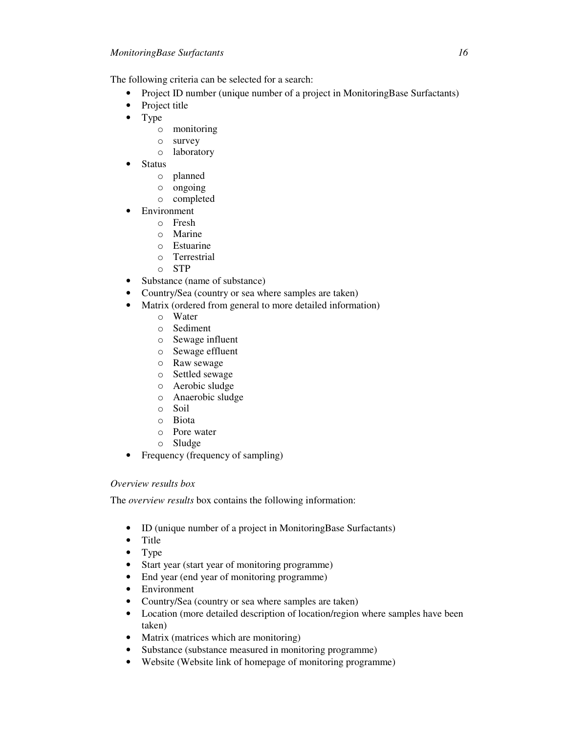The following criteria can be selected for a search:

- Project ID number (unique number of a project in MonitoringBase Surfactants)
- Project title
- Type
	- o monitoring
	- o survey
	- o laboratory
- **Status** 
	- o planned
	- o ongoing
	- o completed
- Environment
	- o Fresh
	- o Marine
	- o Estuarine
	- o Terrestrial
	- o STP
- Substance (name of substance)
- Country/Sea (country or sea where samples are taken)
- Matrix (ordered from general to more detailed information)
	- o Water
	- o Sediment
	- o Sewage influent
	- o Sewage effluent
	- o Raw sewage
	- o Settled sewage
	- o Aerobic sludge
	- o Anaerobic sludge
	- o Soil
	- o Biota
	- o Pore water
	- o Sludge
- Frequency (frequency of sampling)

# *Overview results box*

The *overview results* box contains the following information:

- ID (unique number of a project in MonitoringBase Surfactants)
- Title
- Type
- Start year (start year of monitoring programme)
- End year (end year of monitoring programme)
- Environment
- Country/Sea (country or sea where samples are taken)
- Location (more detailed description of location/region where samples have been taken)
- Matrix (matrices which are monitoring)
- Substance (substance measured in monitoring programme)
- Website (Website link of homepage of monitoring programme)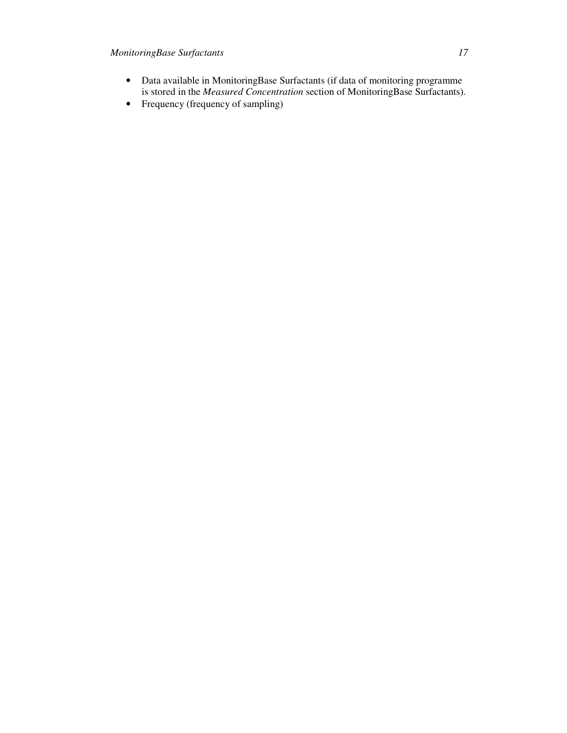- Data available in MonitoringBase Surfactants (if data of monitoring programme is stored in the *Measured Concentration* section of MonitoringBase Surfactants).
- Frequency (frequency of sampling)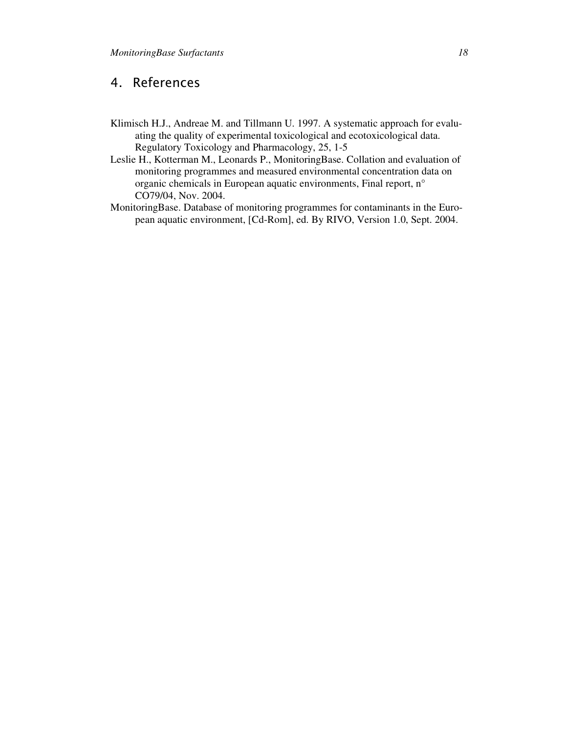# 4. References

- Klimisch H.J., Andreae M. and Tillmann U. 1997. A systematic approach for evaluating the quality of experimental toxicological and ecotoxicological data. Regulatory Toxicology and Pharmacology, 25, 1-5
- Leslie H., Kotterman M., Leonards P., MonitoringBase. Collation and evaluation of monitoring programmes and measured environmental concentration data on organic chemicals in European aquatic environments, Final report, n° CO79/04, Nov. 2004.
- MonitoringBase. Database of monitoring programmes for contaminants in the European aquatic environment, [Cd-Rom], ed. By RIVO, Version 1.0, Sept. 2004.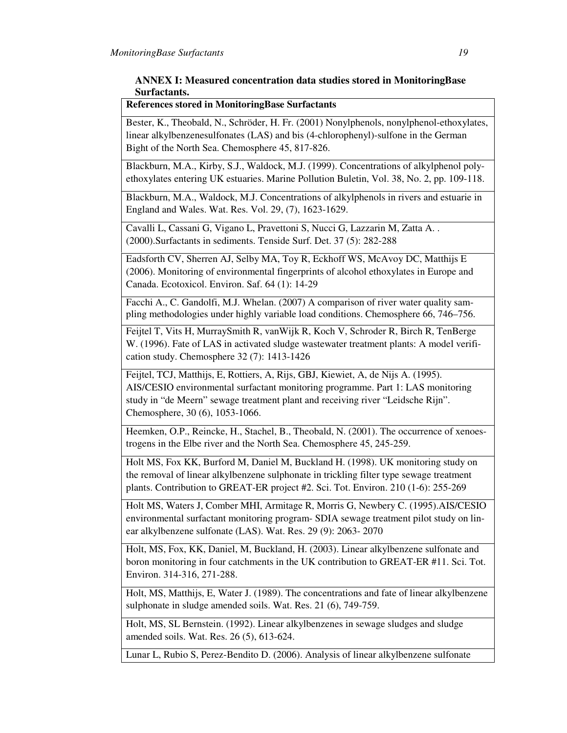### **ANNEX I: Measured concentration data studies stored in MonitoringBase Surfactants.**

#### **References stored in MonitoringBase Surfactants**

Bester, K., Theobald, N., Schröder, H. Fr. (2001) Nonylphenols, nonylphenol-ethoxylates, linear alkylbenzenesulfonates (LAS) and bis (4-chlorophenyl)-sulfone in the German Bight of the North Sea. Chemosphere 45, 817-826.

Blackburn, M.A., Kirby, S.J., Waldock, M.J. (1999). Concentrations of alkylphenol polyethoxylates entering UK estuaries. Marine Pollution Buletin, Vol. 38, No. 2, pp. 109-118.

Blackburn, M.A., Waldock, M.J. Concentrations of alkylphenols in rivers and estuarie in England and Wales. Wat. Res. Vol. 29, (7), 1623-1629.

Cavalli L, Cassani G, Vigano L, Pravettoni S, Nucci G, Lazzarin M, Zatta A. . (2000).Surfactants in sediments. Tenside Surf. Det. 37 (5): 282-288

Eadsforth CV, Sherren AJ, Selby MA, Toy R, Eckhoff WS, McAvoy DC, Matthijs E (2006). Monitoring of environmental fingerprints of alcohol ethoxylates in Europe and Canada. Ecotoxicol. Environ. Saf. 64 (1): 14-29

Facchi A., C. Gandolfi, M.J. Whelan. (2007) A comparison of river water quality sampling methodologies under highly variable load conditions. Chemosphere 66, 746–756.

Feijtel T, Vits H, MurraySmith R, vanWijk R, Koch V, Schroder R, Birch R, TenBerge W. (1996). Fate of LAS in activated sludge wastewater treatment plants: A model verification study. Chemosphere 32 (7): 1413-1426

Feijtel, TCJ, Matthijs, E, Rottiers, A, Rijs, GBJ, Kiewiet, A, de Nijs A. (1995). AIS/CESIO environmental surfactant monitoring programme. Part 1: LAS monitoring study in "de Meern" sewage treatment plant and receiving river "Leidsche Rijn". Chemosphere, 30 (6), 1053-1066.

Heemken, O.P., Reincke, H., Stachel, B., Theobald, N. (2001). The occurrence of xenoestrogens in the Elbe river and the North Sea. Chemosphere 45, 245-259.

Holt MS, Fox KK, Burford M, Daniel M, Buckland H. (1998). UK monitoring study on the removal of linear alkylbenzene sulphonate in trickling filter type sewage treatment plants. Contribution to GREAT-ER project #2. Sci. Tot. Environ. 210 (1-6): 255-269

Holt MS, Waters J, Comber MHI, Armitage R, Morris G, Newbery C. (1995).AIS/CESIO environmental surfactant monitoring program- SDIA sewage treatment pilot study on linear alkylbenzene sulfonate (LAS). Wat. Res. 29 (9): 2063- 2070

Holt, MS, Fox, KK, Daniel, M, Buckland, H. (2003). Linear alkylbenzene sulfonate and boron monitoring in four catchments in the UK contribution to GREAT-ER #11. Sci. Tot. Environ. 314-316, 271-288.

Holt, MS, Matthijs, E, Water J. (1989). The concentrations and fate of linear alkylbenzene sulphonate in sludge amended soils. Wat. Res. 21 (6), 749-759.

Holt, MS, SL Bernstein. (1992). Linear alkylbenzenes in sewage sludges and sludge amended soils. Wat. Res. 26 (5), 613-624.

Lunar L, Rubio S, Perez-Bendito D. (2006). Analysis of linear alkylbenzene sulfonate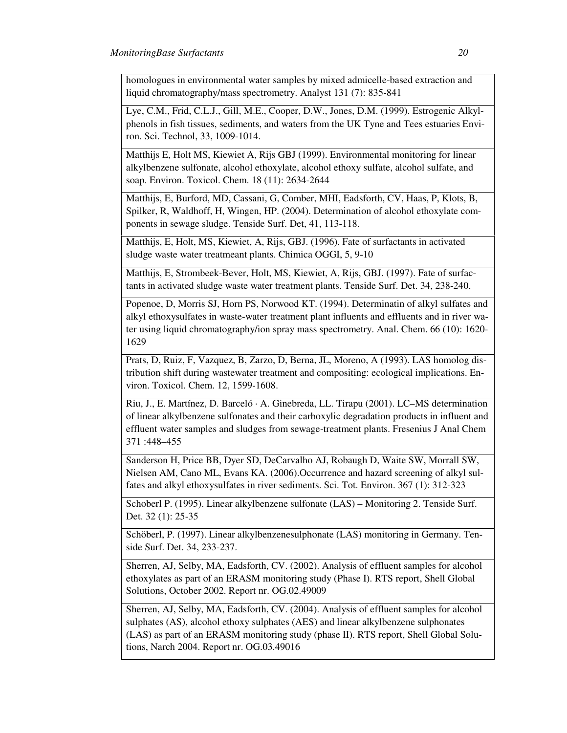homologues in environmental water samples by mixed admicelle-based extraction and liquid chromatography/mass spectrometry. Analyst 131 (7): 835-841

Lye, C.M., Frid, C.L.J., Gill, M.E., Cooper, D.W., Jones, D.M. (1999). Estrogenic Alkylphenols in fish tissues, sediments, and waters from the UK Tyne and Tees estuaries Environ. Sci. Technol, 33, 1009-1014.

Matthijs E, Holt MS, Kiewiet A, Rijs GBJ (1999). Environmental monitoring for linear alkylbenzene sulfonate, alcohol ethoxylate, alcohol ethoxy sulfate, alcohol sulfate, and soap. Environ. Toxicol. Chem. 18 (11): 2634-2644

Matthijs, E, Burford, MD, Cassani, G, Comber, MHI, Eadsforth, CV, Haas, P, Klots, B, Spilker, R, Waldhoff, H, Wingen, HP. (2004). Determination of alcohol ethoxylate components in sewage sludge. Tenside Surf. Det, 41, 113-118.

Matthijs, E, Holt, MS, Kiewiet, A, Rijs, GBJ. (1996). Fate of surfactants in activated sludge waste water treatmeant plants. Chimica OGGI, 5, 9-10

Matthijs, E, Strombeek-Bever, Holt, MS, Kiewiet, A, Rijs, GBJ. (1997). Fate of surfactants in activated sludge waste water treatment plants. Tenside Surf. Det. 34, 238-240.

Popenoe, D, Morris SJ, Horn PS, Norwood KT. (1994). Determinatin of alkyl sulfates and alkyl ethoxysulfates in waste-water treatment plant influents and effluents and in river water using liquid chromatography/ion spray mass spectrometry. Anal. Chem. 66 (10): 1620- 1629

Prats, D, Ruiz, F, Vazquez, B, Zarzo, D, Berna, JL, Moreno, A (1993). LAS homolog distribution shift during wastewater treatment and compositing: ecological implications. Environ. Toxicol. Chem. 12, 1599-1608.

Riu, J., E. Martínez, D. Barceló · A. Ginebreda, LL. Tirapu (2001). LC–MS determination of linear alkylbenzene sulfonates and their carboxylic degradation products in influent and effluent water samples and sludges from sewage-treatment plants. Fresenius J Anal Chem 371 :448–455

Sanderson H, Price BB, Dyer SD, DeCarvalho AJ, Robaugh D, Waite SW, Morrall SW, Nielsen AM, Cano ML, Evans KA. (2006).Occurrence and hazard screening of alkyl sulfates and alkyl ethoxysulfates in river sediments. Sci. Tot. Environ. 367 (1): 312-323

Schoberl P. (1995). Linear alkylbenzene sulfonate (LAS) – Monitoring 2. Tenside Surf. Det. 32 (1): 25-35

Schöberl, P. (1997). Linear alkylbenzenesulphonate (LAS) monitoring in Germany. Tenside Surf. Det. 34, 233-237.

Sherren, AJ, Selby, MA, Eadsforth, CV. (2002). Analysis of effluent samples for alcohol ethoxylates as part of an ERASM monitoring study (Phase I). RTS report, Shell Global Solutions, October 2002. Report nr. OG.02.49009

Sherren, AJ, Selby, MA, Eadsforth, CV. (2004). Analysis of effluent samples for alcohol sulphates (AS), alcohol ethoxy sulphates (AES) and linear alkylbenzene sulphonates (LAS) as part of an ERASM monitoring study (phase II). RTS report, Shell Global Solutions, Narch 2004. Report nr. OG.03.49016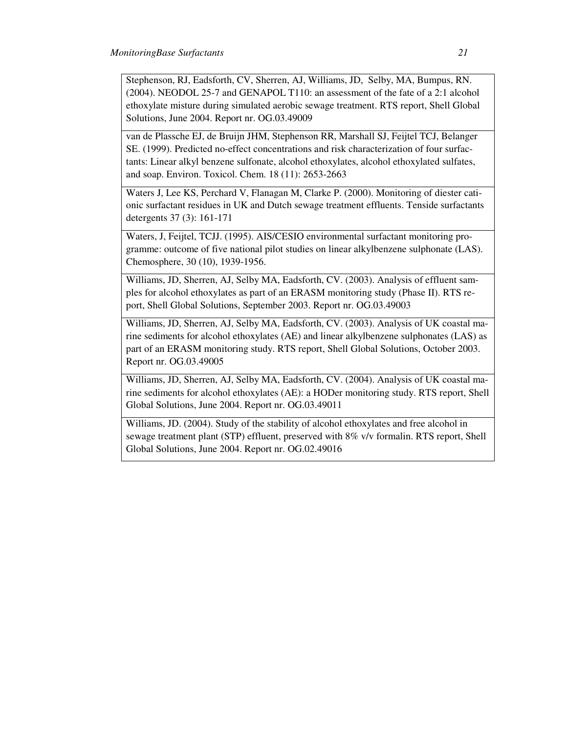Stephenson, RJ, Eadsforth, CV, Sherren, AJ, Williams, JD, Selby, MA, Bumpus, RN. (2004). NEODOL 25-7 and GENAPOL T110: an assessment of the fate of a 2:1 alcohol ethoxylate misture during simulated aerobic sewage treatment. RTS report, Shell Global Solutions, June 2004. Report nr. OG.03.49009

van de Plassche EJ, de Bruijn JHM, Stephenson RR, Marshall SJ, Feijtel TCJ, Belanger SE. (1999). Predicted no-effect concentrations and risk characterization of four surfactants: Linear alkyl benzene sulfonate, alcohol ethoxylates, alcohol ethoxylated sulfates, and soap. Environ. Toxicol. Chem. 18 (11): 2653-2663

Waters J, Lee KS, Perchard V, Flanagan M, Clarke P. (2000). Monitoring of diester cationic surfactant residues in UK and Dutch sewage treatment effluents. Tenside surfactants detergents 37 (3): 161-171

Waters, J, Feijtel, TCJJ. (1995). AIS/CESIO environmental surfactant monitoring programme: outcome of five national pilot studies on linear alkylbenzene sulphonate (LAS). Chemosphere, 30 (10), 1939-1956.

Williams, JD, Sherren, AJ, Selby MA, Eadsforth, CV. (2003). Analysis of effluent samples for alcohol ethoxylates as part of an ERASM monitoring study (Phase II). RTS report, Shell Global Solutions, September 2003. Report nr. OG.03.49003

Williams, JD, Sherren, AJ, Selby MA, Eadsforth, CV. (2003). Analysis of UK coastal marine sediments for alcohol ethoxylates (AE) and linear alkylbenzene sulphonates (LAS) as part of an ERASM monitoring study. RTS report, Shell Global Solutions, October 2003. Report nr. OG.03.49005

Williams, JD, Sherren, AJ, Selby MA, Eadsforth, CV. (2004). Analysis of UK coastal marine sediments for alcohol ethoxylates (AE): a HODer monitoring study. RTS report, Shell Global Solutions, June 2004. Report nr. OG.03.49011

Williams, JD. (2004). Study of the stability of alcohol ethoxylates and free alcohol in sewage treatment plant (STP) effluent, preserved with 8% v/v formalin. RTS report, Shell Global Solutions, June 2004. Report nr. OG.02.49016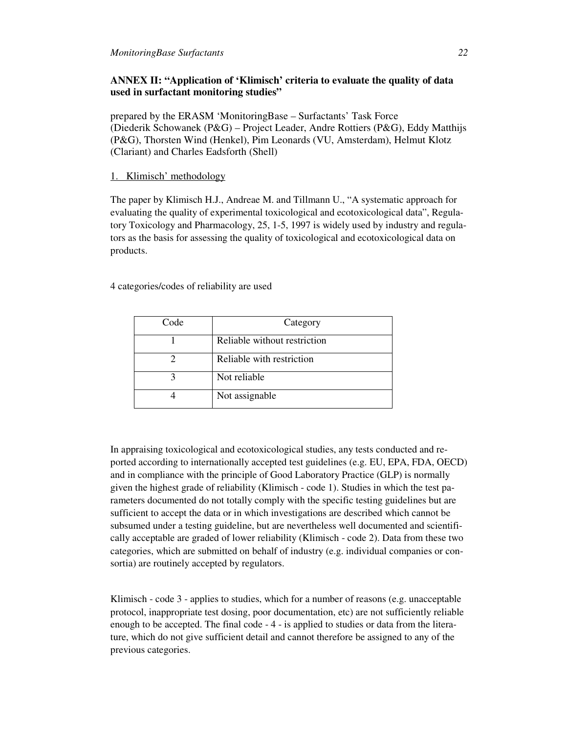# **ANNEX II: "Application of 'Klimisch' criteria to evaluate the quality of data used in surfactant monitoring studies"**

prepared by the ERASM 'MonitoringBase – Surfactants' Task Force (Diederik Schowanek (P&G) – Project Leader, Andre Rottiers (P&G), Eddy Matthijs (P&G), Thorsten Wind (Henkel), Pim Leonards (VU, Amsterdam), Helmut Klotz (Clariant) and Charles Eadsforth (Shell)

### 1. Klimisch' methodology

The paper by Klimisch H.J., Andreae M. and Tillmann U., "A systematic approach for evaluating the quality of experimental toxicological and ecotoxicological data", Regulatory Toxicology and Pharmacology, 25, 1-5, 1997 is widely used by industry and regulators as the basis for assessing the quality of toxicological and ecotoxicological data on products.

4 categories/codes of reliability are used

| Code | Category                     |
|------|------------------------------|
|      | Reliable without restriction |
|      | Reliable with restriction    |
|      | Not reliable                 |
|      | Not assignable               |

In appraising toxicological and ecotoxicological studies, any tests conducted and reported according to internationally accepted test guidelines (e.g. EU, EPA, FDA, OECD) and in compliance with the principle of Good Laboratory Practice (GLP) is normally given the highest grade of reliability (Klimisch - code 1). Studies in which the test parameters documented do not totally comply with the specific testing guidelines but are sufficient to accept the data or in which investigations are described which cannot be subsumed under a testing guideline, but are nevertheless well documented and scientifically acceptable are graded of lower reliability (Klimisch - code 2). Data from these two categories, which are submitted on behalf of industry (e.g. individual companies or consortia) are routinely accepted by regulators.

Klimisch - code 3 - applies to studies, which for a number of reasons (e.g. unacceptable protocol, inappropriate test dosing, poor documentation, etc) are not sufficiently reliable enough to be accepted. The final code - 4 - is applied to studies or data from the literature, which do not give sufficient detail and cannot therefore be assigned to any of the previous categories.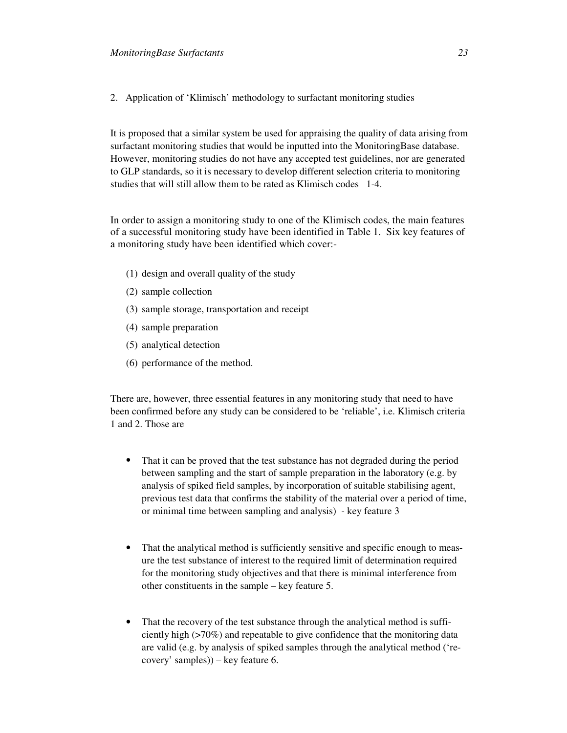2. Application of 'Klimisch' methodology to surfactant monitoring studies

It is proposed that a similar system be used for appraising the quality of data arising from surfactant monitoring studies that would be inputted into the MonitoringBase database. However, monitoring studies do not have any accepted test guidelines, nor are generated to GLP standards, so it is necessary to develop different selection criteria to monitoring studies that will still allow them to be rated as Klimisch codes 1-4.

In order to assign a monitoring study to one of the Klimisch codes, the main features of a successful monitoring study have been identified in Table 1. Six key features of a monitoring study have been identified which cover:-

- (1) design and overall quality of the study
- (2) sample collection
- (3) sample storage, transportation and receipt
- (4) sample preparation
- (5) analytical detection
- (6) performance of the method.

There are, however, three essential features in any monitoring study that need to have been confirmed before any study can be considered to be 'reliable', i.e. Klimisch criteria 1 and 2. Those are

- That it can be proved that the test substance has not degraded during the period between sampling and the start of sample preparation in the laboratory (e.g. by analysis of spiked field samples, by incorporation of suitable stabilising agent, previous test data that confirms the stability of the material over a period of time, or minimal time between sampling and analysis) - key feature 3
- That the analytical method is sufficiently sensitive and specific enough to measure the test substance of interest to the required limit of determination required for the monitoring study objectives and that there is minimal interference from other constituents in the sample – key feature 5.
- That the recovery of the test substance through the analytical method is sufficiently high (>70%) and repeatable to give confidence that the monitoring data are valid (e.g. by analysis of spiked samples through the analytical method ('recovery' samples)) – key feature 6.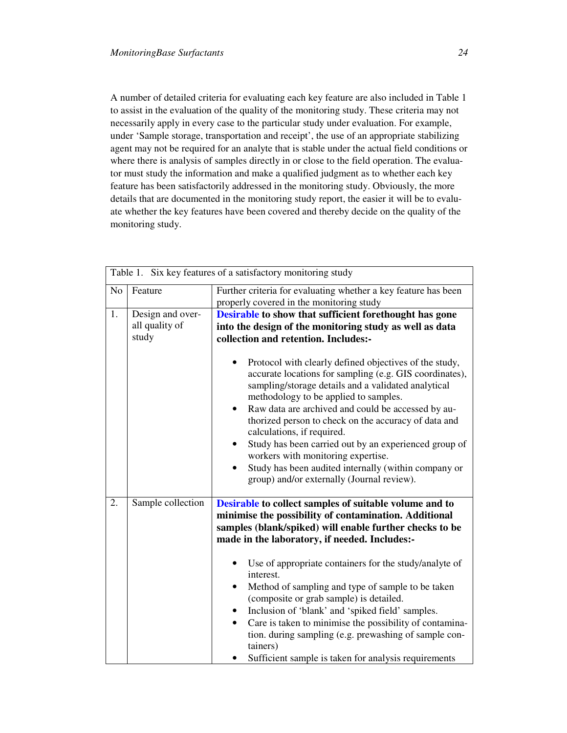A number of detailed criteria for evaluating each key feature are also included in Table 1 to assist in the evaluation of the quality of the monitoring study. These criteria may not necessarily apply in every case to the particular study under evaluation. For example, under 'Sample storage, transportation and receipt', the use of an appropriate stabilizing agent may not be required for an analyte that is stable under the actual field conditions or where there is analysis of samples directly in or close to the field operation. The evaluator must study the information and make a qualified judgment as to whether each key feature has been satisfactorily addressed in the monitoring study. Obviously, the more details that are documented in the monitoring study report, the easier it will be to evaluate whether the key features have been covered and thereby decide on the quality of the monitoring study.

|                |                                             | Table 1. Six key features of a satisfactory monitoring study                                                                                                                                                                                                                                                                                                                                                                                                                                                                                                                                                                                                                                                                                              |
|----------------|---------------------------------------------|-----------------------------------------------------------------------------------------------------------------------------------------------------------------------------------------------------------------------------------------------------------------------------------------------------------------------------------------------------------------------------------------------------------------------------------------------------------------------------------------------------------------------------------------------------------------------------------------------------------------------------------------------------------------------------------------------------------------------------------------------------------|
| N <sub>o</sub> | Feature                                     | Further criteria for evaluating whether a key feature has been<br>properly covered in the monitoring study                                                                                                                                                                                                                                                                                                                                                                                                                                                                                                                                                                                                                                                |
| 1.             | Design and over-<br>all quality of<br>study | Desirable to show that sufficient forethought has gone<br>into the design of the monitoring study as well as data<br>collection and retention. Includes:-<br>Protocol with clearly defined objectives of the study,<br>accurate locations for sampling (e.g. GIS coordinates),<br>sampling/storage details and a validated analytical<br>methodology to be applied to samples.<br>Raw data are archived and could be accessed by au-<br>$\bullet$<br>thorized person to check on the accuracy of data and<br>calculations, if required.<br>Study has been carried out by an experienced group of<br>$\bullet$<br>workers with monitoring expertise.<br>Study has been audited internally (within company or<br>group) and/or externally (Journal review). |
| 2.             | Sample collection                           | Desirable to collect samples of suitable volume and to<br>minimise the possibility of contamination. Additional<br>samples (blank/spiked) will enable further checks to be<br>made in the laboratory, if needed. Includes:-<br>Use of appropriate containers for the study/analyte of<br>$\bullet$<br>interest.<br>Method of sampling and type of sample to be taken<br>٠<br>(composite or grab sample) is detailed.<br>Inclusion of 'blank' and 'spiked field' samples.<br>Care is taken to minimise the possibility of contamina-<br>$\bullet$<br>tion. during sampling (e.g. prewashing of sample con-<br>tainers)<br>Sufficient sample is taken for analysis requirements                                                                             |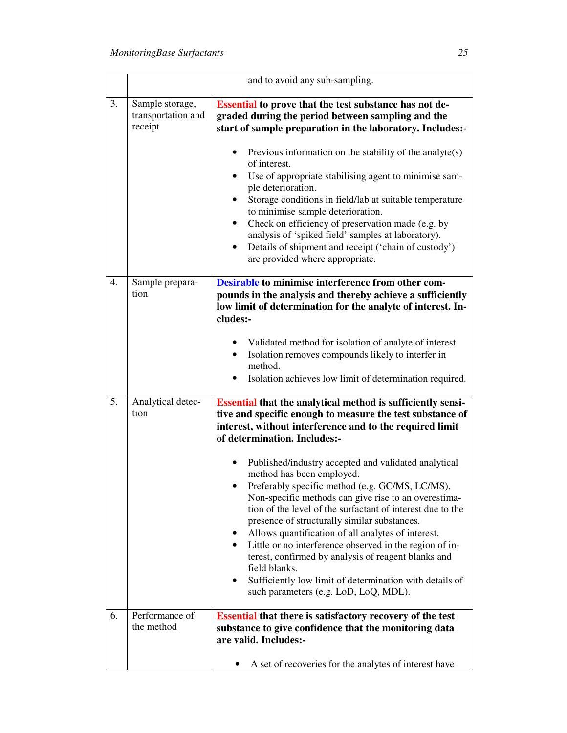|    |                                                  | and to avoid any sub-sampling.                                                                                                                                                                                                                                                                                                                                                                                                                                                                                                                                                                                                                                                                                                                                                                                                                      |
|----|--------------------------------------------------|-----------------------------------------------------------------------------------------------------------------------------------------------------------------------------------------------------------------------------------------------------------------------------------------------------------------------------------------------------------------------------------------------------------------------------------------------------------------------------------------------------------------------------------------------------------------------------------------------------------------------------------------------------------------------------------------------------------------------------------------------------------------------------------------------------------------------------------------------------|
| 3. | Sample storage,<br>transportation and<br>receipt | <b>Essential</b> to prove that the test substance has not de-<br>graded during the period between sampling and the<br>start of sample preparation in the laboratory. Includes:-<br>Previous information on the stability of the analyte(s)<br>٠<br>of interest.<br>Use of appropriate stabilising agent to minimise sam-<br>ple deterioration.<br>Storage conditions in field/lab at suitable temperature<br>$\bullet$<br>to minimise sample deterioration.<br>Check on efficiency of preservation made (e.g. by<br>analysis of 'spiked field' samples at laboratory).<br>Details of shipment and receipt ('chain of custody')<br>٠<br>are provided where appropriate.                                                                                                                                                                              |
| 4. | Sample prepara-<br>tion                          | Desirable to minimise interference from other com-<br>pounds in the analysis and thereby achieve a sufficiently<br>low limit of determination for the analyte of interest. In-<br>cludes:-<br>• Validated method for isolation of analyte of interest.<br>Isolation removes compounds likely to interfer in<br>method.<br>Isolation achieves low limit of determination required.                                                                                                                                                                                                                                                                                                                                                                                                                                                                   |
| 5. | Analytical detec-<br>tion                        | <b>Essential that the analytical method is sufficiently sensi-</b><br>tive and specific enough to measure the test substance of<br>interest, without interference and to the required limit<br>of determination. Includes:-<br>Published/industry accepted and validated analytical<br>method has been employed.<br>Preferably specific method (e.g. GC/MS, LC/MS).<br>Non-specific methods can give rise to an overestima-<br>tion of the level of the surfactant of interest due to the<br>presence of structurally similar substances.<br>Allows quantification of all analytes of interest.<br>Little or no interference observed in the region of in-<br>$\bullet$<br>terest, confirmed by analysis of reagent blanks and<br>field blanks.<br>Sufficiently low limit of determination with details of<br>such parameters (e.g. LoD, LoQ, MDL). |
| 6. | Performance of<br>the method                     | <b>Essential that there is satisfactory recovery of the test</b><br>substance to give confidence that the monitoring data<br>are valid. Includes:-<br>A set of recoveries for the analytes of interest have                                                                                                                                                                                                                                                                                                                                                                                                                                                                                                                                                                                                                                         |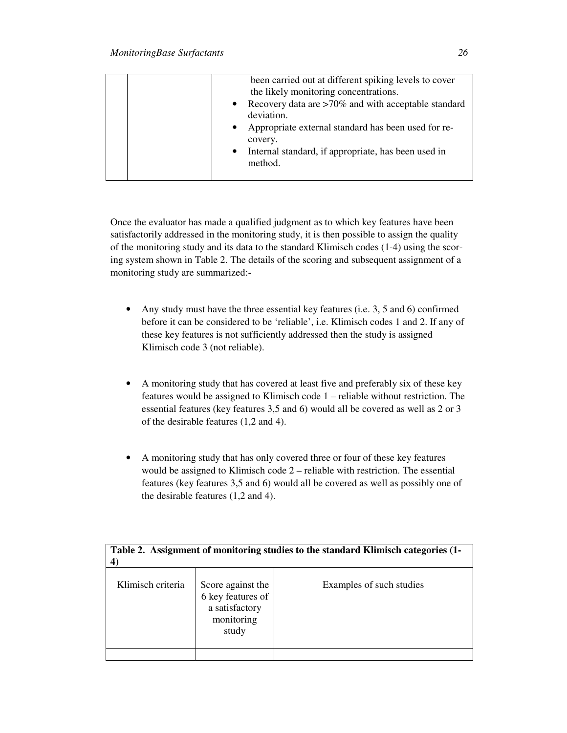| been carried out at different spiking levels to cover<br>the likely monitoring concentrations.<br>Recovery data are $>70\%$ and with acceptable standard<br>deviation.<br>Appropriate external standard has been used for re-<br>covery.<br>Internal standard, if appropriate, has been used in<br>$\bullet$<br>method. |
|-------------------------------------------------------------------------------------------------------------------------------------------------------------------------------------------------------------------------------------------------------------------------------------------------------------------------|
|                                                                                                                                                                                                                                                                                                                         |

Once the evaluator has made a qualified judgment as to which key features have been satisfactorily addressed in the monitoring study, it is then possible to assign the quality of the monitoring study and its data to the standard Klimisch codes (1-4) using the scoring system shown in Table 2. The details of the scoring and subsequent assignment of a monitoring study are summarized:-

- Any study must have the three essential key features (i.e. 3, 5 and 6) confirmed before it can be considered to be 'reliable', i.e. Klimisch codes 1 and 2. If any of these key features is not sufficiently addressed then the study is assigned Klimisch code 3 (not reliable).
- A monitoring study that has covered at least five and preferably six of these key features would be assigned to Klimisch code 1 – reliable without restriction. The essential features (key features 3,5 and 6) would all be covered as well as 2 or 3 of the desirable features (1,2 and 4).
- A monitoring study that has only covered three or four of these key features would be assigned to Klimisch code 2 – reliable with restriction. The essential features (key features 3,5 and 6) would all be covered as well as possibly one of the desirable features (1,2 and 4).

| Table 2. Assignment of monitoring studies to the standard Klimisch categories (1- |                                                                                 |                          |  |
|-----------------------------------------------------------------------------------|---------------------------------------------------------------------------------|--------------------------|--|
| Klimisch criteria                                                                 | Score against the<br>6 key features of<br>a satisfactory<br>monitoring<br>study | Examples of such studies |  |
|                                                                                   |                                                                                 |                          |  |